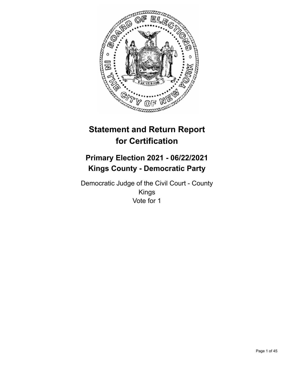

# **Statement and Return Report for Certification**

## **Primary Election 2021 - 06/22/2021 Kings County - Democratic Party**

Democratic Judge of the Civil Court - County Kings Vote for 1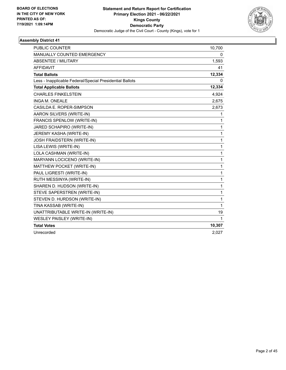

| <b>PUBLIC COUNTER</b>                                    | 10,700 |
|----------------------------------------------------------|--------|
| <b>MANUALLY COUNTED EMERGENCY</b>                        | 0      |
| <b>ABSENTEE / MILITARY</b>                               | 1,593  |
| <b>AFFIDAVIT</b>                                         | 41     |
| <b>Total Ballots</b>                                     | 12,334 |
| Less - Inapplicable Federal/Special Presidential Ballots | 0      |
| <b>Total Applicable Ballots</b>                          | 12,334 |
| <b>CHARLES FINKELSTEIN</b>                               | 4,924  |
| <b>INGA M. ONEALE</b>                                    | 2,675  |
| CASILDA E. ROPER-SIMPSON                                 | 2,673  |
| AARON SILVERS (WRITE-IN)                                 | 1      |
| FRANCIS SPENLOW (WRITE-IN)                               | 1      |
| JARED SCHAPIRO (WRITE-IN)                                | 1      |
| JEREMY KASHA (WRITE-IN)                                  | 1      |
| JOSH FRAIDSTERN (WRITE-IN)                               | 1      |
| LISA LEWIS (WRITE-IN)                                    | 1      |
| LOLA CASHMAN (WRITE-IN)                                  | 1      |
| MARYANN LOCICENO (WRITE-IN)                              | 1      |
| MATTHEW POCKET (WRITE-IN)                                | 1      |
| PAUL LIGRESTI (WRITE-IN)                                 | 1      |
| RUTH MESSINYA (WRITE-IN)                                 | 1      |
| SHAREN D. HUDSON (WRITE-IN)                              | 1      |
| STEVE SAPERSTREN (WRITE-IN)                              | 1      |
| STEVEN D. HURDSON (WRITE-IN)                             | 1      |
| TINA KASSAB (WRITE-IN)                                   | 1      |
| UNATTRIBUTABLE WRITE-IN (WRITE-IN)                       | 19     |
| WESLEY PAISLEY (WRITE-IN)                                | 1      |
| <b>Total Votes</b>                                       | 10,307 |
| Unrecorded                                               | 2,027  |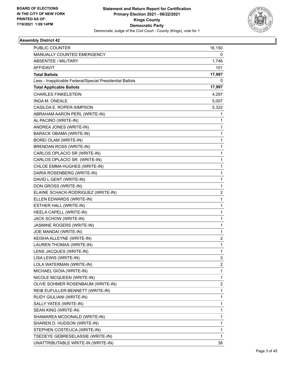

| <b>PUBLIC COUNTER</b>                                    | 16,150         |
|----------------------------------------------------------|----------------|
| MANUALLY COUNTED EMERGENCY                               | 0              |
| ABSENTEE / MILITARY                                      | 1,746          |
| AFFIDAVIT                                                | 101            |
| <b>Total Ballots</b>                                     | 17,997         |
| Less - Inapplicable Federal/Special Presidential Ballots | 0              |
| <b>Total Applicable Ballots</b>                          | 17,997         |
| <b>CHARLES FINKELSTEIN</b>                               | 4,297          |
| INGA M. ONEALE                                           | 5,007          |
| CASILDA E. ROPER-SIMPSON                                 | 5,322          |
| ABRAHAM AARON PERL (WRITE-IN)                            | 1              |
| AL PACINO (WRITE-IN)                                     | 1              |
| ANDREA JONES (WRITE-IN)                                  | 1              |
| BARACK OBAMA (WRITE-IN)                                  | $\mathbf{1}$   |
| BOREI OLAM (WRITE-IN)                                    | 1              |
| BRENDAN ROSS (WRITE-IN)                                  | 1              |
| CARLOS OPLACIO SR (WRITE-IN)                             | $\mathbf{1}$   |
| CARLOS OPLACIO SR. (WRITE-IN)                            | 1              |
| CHLOE EMMA HUGHES (WRITE-IN)                             | 1              |
| DARIA ROSENBERG (WRITE-IN)                               | $\mathbf{1}$   |
| DAVID L GENT (WRITE-IN)                                  | 1              |
| DON GROSS (WRITE-IN)                                     | 1              |
| ELAINE SCHACK-RODRIGUEZ (WRITE-IN)                       | $\overline{2}$ |
| ELLEN EDWARDS (WRITE-IN)                                 | 1              |
| ESTHER HALL (WRITE-IN)                                   | 1              |
| HEELA CAPELL (WRITE-IN)                                  | $\mathbf{1}$   |
| JACK SCHOW (WRITE-IN)                                    | 1              |
| JASMINE ROGERS (WRITE-IN)                                | 1              |
| JOE MANDAI (WRITE-IN)                                    | $\mathbf{1}$   |
| KEISHA ALLEYNE (WRITE-IN)                                | 2              |
| LAUREN THOMAS (WRITE-IN)                                 | 1              |
| LENS JACQUES (WRITE-IN)                                  | 1              |
| LISA LEWIS (WRITE-IN)                                    | 3              |
| LOLA WATERMAN (WRITE-IN)                                 | 2              |
| MICHAEL GIOIA (WRITE-IN)                                 | 1              |
| NICOLE MCQUEEN (WRITE-IN)                                | $\mathbf{1}$   |
| OLIVE SOHMER ROSENBAUM (WRITE-IN)                        | 2              |
| REIB EUFULLER-BENNETT (WRITE-IN)                         | $\mathbf 1$    |
| RUDY GIULIANI (WRITE-IN)                                 | 1              |
| SALLY YATES (WRITE-IN)                                   | 1              |
| SEAN KING (WRITE-IN)                                     | 1              |
| SHAMAREA MCDONALD (WRITE-IN)                             | 1              |
| SHAREN D. HUDSON (WRITE-IN)                              | 1              |
| STEPHEN COSTEUCA (WRITE-IN)                              | $\mathbf 1$    |
| TSEDEYE GEBRESELASSIE (WRITE-IN)                         | 1              |
| UNATTRIBUTABLE WRITE-IN (WRITE-IN)                       | 38             |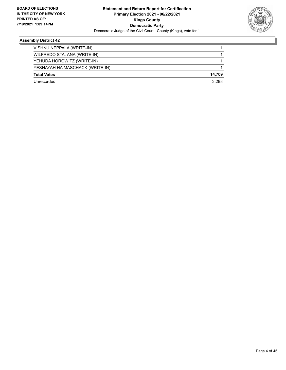

| 14.709 |
|--------|
| 3.288  |
|        |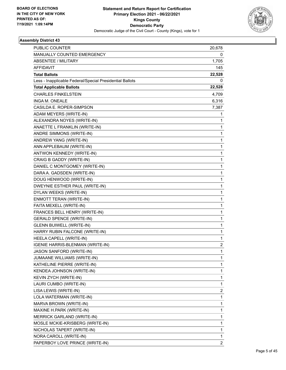

| PUBLIC COUNTER                                           | 20,678         |
|----------------------------------------------------------|----------------|
| MANUALLY COUNTED EMERGENCY                               | 0              |
| <b>ABSENTEE / MILITARY</b>                               | 1,705          |
| <b>AFFIDAVIT</b>                                         | 145            |
| <b>Total Ballots</b>                                     | 22,528         |
| Less - Inapplicable Federal/Special Presidential Ballots | 0              |
| <b>Total Applicable Ballots</b>                          | 22,528         |
| <b>CHARLES FINKELSTEIN</b>                               | 4,709          |
| INGA M. ONEALE                                           | 6,316          |
| CASILDA E. ROPER-SIMPSON                                 | 7,387          |
| ADAM MEYERS (WRITE-IN)                                   | 1              |
| ALEXANDRA NOYES (WRITE-IN)                               | 1              |
| ANAETTE L FRANKLIN (WRITE-IN)                            | 1              |
| ANDRE SIMMONS (WRITE-IN)                                 | 1              |
| ANDREW YANG (WRITE-IN)                                   | 1              |
| ANN APPLEBAUM (WRITE-IN)                                 | 1              |
| ANTWON KENNEDY (WRITE-IN)                                | 1              |
| CRAIG B GADDY (WRITE-IN)                                 | 1              |
| DANIEL C MONTGOMEY (WRITE-IN)                            | 1              |
| DARA A. GADSDEN (WRITE-IN)                               | 1              |
| DOUG HENWOOD (WRITE-IN)                                  | 1              |
| DWEYNIE ESTHER PAUL (WRITE-IN)                           | 1              |
| DYLAN WEEKS (WRITE-IN)                                   | 1              |
| ENMOTT TERAN (WRITE-IN)                                  | 1              |
| FAITA MEXELL (WRITE-IN)                                  | 1              |
| FRANCES BELL HENRY (WRITE-IN)                            | 1              |
| <b>GERALD SPENCE (WRITE-IN)</b>                          | 1              |
| <b>GLENN BUIWELL (WRITE-IN)</b>                          | 1              |
| HARRY RUBIN FALCONE (WRITE-IN)                           | 1              |
| HEELA CAPELL (WRITE-IN)                                  | 1              |
| IGENIE HARRIS-BLENMAN (WRITE-IN)                         | 2              |
| JASON SANFORD (WRITE-IN)                                 | 1              |
| JUMAANE WILLIAMS (WRITE-IN)                              | 1              |
| KATHELINE PIERRE (WRITE-IN)                              | 1              |
| KENDEA JOHNSON (WRITE-IN)                                | 1              |
| KEVIN ZYCH (WRITE-IN)                                    | 1              |
| LAURI CUMBO (WRITE-IN)                                   | 1              |
| LISA LEWIS (WRITE-IN)                                    | 2              |
| LOLA WATERMAN (WRITE-IN)                                 | 1              |
| MARVA BROWN (WRITE-IN)                                   | 1              |
| MAXINE H.PARK (WRITE-IN)                                 | 1              |
| MERRICK GARLAND (WRITE-IN)                               | 1              |
| MOSLE MCKIE-KRISBERG (WRITE-IN)                          | 1              |
| NICHOLAS TAPERT (WRITE-IN)                               | 1              |
| NORA CAROLL (WRITE-IN)                                   | 1              |
| PAPERBOY LOVE PRINCE (WRITE-IN)                          | $\overline{2}$ |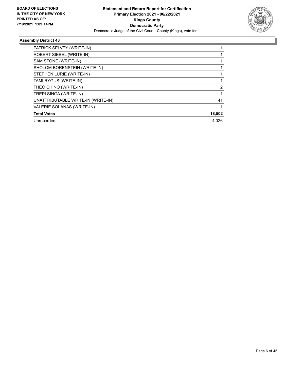

| PATRICK SELVEY (WRITE-IN)          |        |
|------------------------------------|--------|
| ROBERT SIEBEL (WRITE-IN)           |        |
| SAM STONE (WRITE-IN)               |        |
| SHOLOM BORENSTEIN (WRITE-IN)       |        |
| STEPHEN LURIE (WRITE-IN)           |        |
| TAMI RYGUS (WRITE-IN)              |        |
| THEO CHINO (WRITE-IN)              | 2      |
| TREPI SINGA (WRITE-IN)             |        |
| UNATTRIBUTABLE WRITE-IN (WRITE-IN) | 41     |
| VALERIE SOLANAS (WRITE-IN)         |        |
| <b>Total Votes</b>                 | 18,502 |
| Unrecorded                         | 4.026  |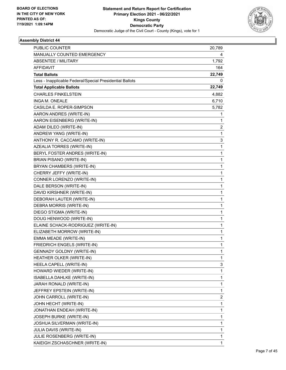

| PUBLIC COUNTER                                           | 20,789 |
|----------------------------------------------------------|--------|
| MANUALLY COUNTED EMERGENCY                               | 4      |
| <b>ABSENTEE / MILITARY</b>                               | 1,792  |
| <b>AFFIDAVIT</b>                                         | 164    |
| <b>Total Ballots</b>                                     | 22,749 |
| Less - Inapplicable Federal/Special Presidential Ballots | 0      |
| <b>Total Applicable Ballots</b>                          | 22,749 |
| <b>CHARLES FINKELSTEIN</b>                               | 4,882  |
| INGA M. ONEALE                                           | 6,710  |
| CASILDA E. ROPER-SIMPSON                                 | 5,782  |
| AARON ANDRES (WRITE-IN)                                  | 1      |
| AARON EISENBERG (WRITE-IN)                               | 1      |
| ADAM DILEO (WRITE-IN)                                    | 2      |
| ANDREW YANG (WRITE-IN)                                   | 1      |
| ANTHONY R. CACCAMO (WRITE-IN)                            | 3      |
| AZEALIA TORRES (WRITE-IN)                                | 1      |
| BERYL FOSTER ANDRES (WRITE-IN)                           | 1      |
| BRIAN PISANO (WRITE-IN)                                  | 1      |
| BRYAN CHAMBERS (WRITE-IN)                                | 1      |
| CHERRY JEFFY (WRITE-IN)                                  | 1      |
| CONNER LORENZO (WRITE-IN)                                | 1      |
| DALE BERSON (WRITE-IN)                                   | 1      |
| DAVID KIRSHNER (WRITE-IN)                                | 1      |
| DEBORAH LAUTER (WRITE-IN)                                | 1      |
| DEBRA MORRIS (WRITE-IN)                                  | 1      |
| DIEGO STIGMA (WRITE-IN)                                  | 1      |
| DOUG HENWOOD (WRITE-IN)                                  | 1      |
| ELAINE SCHACK-RODRIGUEZ (WRITE-IN)                       | 1      |
| ELIZABETH MORROW (WRITE-IN)                              | 1      |
| EMMA MEADE (WRITE-IN)                                    | 1      |
| FRIEDRICH ENGELS (WRITE-IN)                              | 1      |
| <b>GENNADY GOLDNY (WRITE-IN)</b>                         | 1      |
| HEATHER OLKER (WRITE-IN)                                 | 1      |
| HEELA CAPELL (WRITE-IN)                                  | 3      |
| HOWARD WIEDER (WRITE-IN)                                 | 1      |
| ISABELLA DAHLKE (WRITE-IN)                               | 1      |
| JARAH RONALD (WRITE-IN)                                  | 1      |
| JEFFREY EPSTEIN (WRITE-IN)                               | 1      |
| JOHN CARROLL (WRITE-IN)                                  | 2      |
| JOHN HECHT (WRITE-IN)                                    | 1      |
| JONATHAN ENDEAH (WRITE-IN)                               | 1      |
| JOSEPH BURKE (WRITE-IN)                                  | 1      |
| JOSHUA SILVERMAN (WRITE-IN)                              | 1      |
| JULIA DAVIS (WRITE-IN)                                   | 1      |
| JULIE ROSENBERG (WRITE-IN)                               | 1      |
| KAIEIGH ZSCHASCHNER (WRITE-IN)                           | 1      |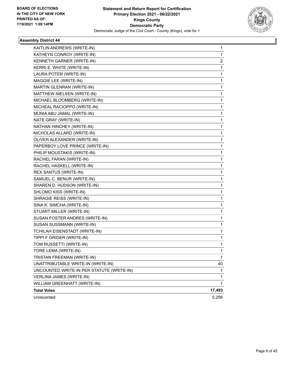

| KAITLIN ANDREWS (WRITE-IN)                | 1      |
|-------------------------------------------|--------|
| KATHEYN CONROY (WRITE-IN)                 | 1      |
| KENNETH GARNER (WRITE-IN)                 | 2      |
| KERRI E. WHITE (WRITE-IN)                 | 1      |
| LAURA POTER (WRITE-IN)                    | 1      |
| MAGGIE LEE (WRITE-IN)                     | 1      |
| MARTIN GLENRAN (WRITE-IN)                 | 1      |
| MATTHEW NIELSEN (WRITE-IN)                | 1      |
| MICHAEL BLOOMBERG (WRITE-IN)              | 1      |
| MICHEAL RACIOPPO (WRITE-IN)               | 1      |
| MUNIA ABU JAMAL (WRITE-IN)                | 1      |
| NATE GRAY (WRITE-IN)                      | 1      |
| NATHAN HINCHEY (WRITE-IN)                 | 1      |
| NICHOLAS ALLARD (WRITE-IN)                | 1      |
| OLIVER ALEXANDER (WRITE-IN)               | 1      |
| PAPERBOY LOVE PRINCE (WRITE-IN)           | 1      |
| PHILIP MOUSTAKIS (WRITE-IN)               | 1      |
| RACHEL FARAN (WRITE-IN)                   | 1      |
| RACHEL HASKELL (WRITE-IN)                 | 1      |
| REX SANTUS (WRITE-IN)                     | 1      |
| SAMUEL C. BENUR (WRITE-IN)                | 1      |
| SHAREN D. HUDSON (WRITE-IN)               | 1      |
| SHLOMO KISS (WRITE-IN)                    | 1      |
| SHRAGIE REISS (WRITE-IN)                  | 1      |
| SINA K. SIMCHA (WRITE-IN)                 | 1      |
| STUART MILLER (WRITE-IN)                  | 1      |
| SUSAN FOSTER ANDRES (WRITE-IN)            | 1      |
| SUSAN SUSSMANN (WRITE-IN)                 | 1      |
| TCHILAH EISENSTADT (WRITE-IN)             | 1      |
| TIPPI F.GRIDER (WRITE-IN)                 | 1      |
| TOM RUSSETTI (WRITE-IN)                   | 1      |
| TORE LEMA (WRITE-IN)                      | 1      |
| TRISTAN FREEMAN (WRITE-IN)                | 1      |
| UNATTRIBUTABLE WRITE-IN (WRITE-IN)        | 40     |
| UNCOUNTED WRITE-IN PER STATUTE (WRITE-IN) | 1      |
| VERLINA JAMES (WRITE-IN)                  | 1      |
| WILLIAM GREENHATT (WRITE-IN)              | 1      |
| <b>Total Votes</b>                        | 17,493 |
| Unrecorded                                | 5,256  |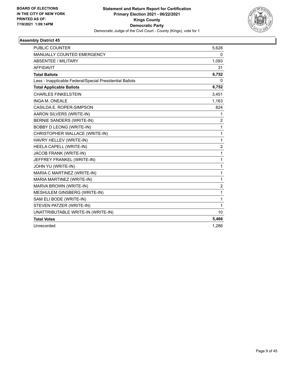

| <b>PUBLIC COUNTER</b>                                    | 5,628          |
|----------------------------------------------------------|----------------|
| <b>MANUALLY COUNTED EMERGENCY</b>                        | 0              |
| <b>ABSENTEE / MILITARY</b>                               | 1,093          |
| <b>AFFIDAVIT</b>                                         | 31             |
| <b>Total Ballots</b>                                     | 6,752          |
| Less - Inapplicable Federal/Special Presidential Ballots | 0              |
| <b>Total Applicable Ballots</b>                          | 6,752          |
| <b>CHARLES FINKELSTEIN</b>                               | 3,451          |
| INGA M. ONEALE                                           | 1,163          |
| CASILDA E. ROPER-SIMPSON                                 | 824            |
| AARON SILVERS (WRITE-IN)                                 | 1              |
| BERNIE SANDERS (WRITE-IN)                                | $\overline{c}$ |
| BOBBY D LEONG (WRITE-IN)                                 | 1              |
| CHRISTOPHER WALLACE (WRITE-IN)                           | 1              |
| HAVRY HELLEV (WRITE-IN)                                  | $\mathbf{1}$   |
| HEELA CAPELL (WRITE-IN)                                  | $\overline{c}$ |
| JACOB FRANK (WRITE-IN)                                   | 1              |
| JEFFREY FRANKEL (WRITE-IN)                               | 1              |
| JOHN YU (WRITE-IN)                                       | 1              |
| MARIA C MARTINEZ (WRITE-IN)                              | 1              |
| MARIA MARTINEZ (WRITE-IN)                                | 1              |
| MARVA BROWN (WRITE-IN)                                   | 2              |
| MESHULEM GINSBERG (WRITE-IN)                             | 1              |
| SAM ELI BODE (WRITE-IN)                                  | 1              |
| STEVEN PATZER (WRITE-IN)                                 | 1              |
| UNATTRIBUTABLE WRITE-IN (WRITE-IN)                       | 10             |
| <b>Total Votes</b>                                       | 5,466          |
| Unrecorded                                               | 1,286          |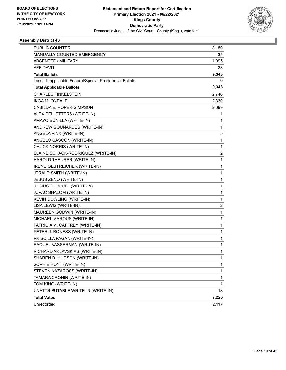

| <b>PUBLIC COUNTER</b>                                    | 8,180          |
|----------------------------------------------------------|----------------|
| MANUALLY COUNTED EMERGENCY                               | 35             |
| <b>ABSENTEE / MILITARY</b>                               | 1,095          |
| <b>AFFIDAVIT</b>                                         | 33             |
| <b>Total Ballots</b>                                     | 9,343          |
| Less - Inapplicable Federal/Special Presidential Ballots | 0              |
| <b>Total Applicable Ballots</b>                          | 9,343          |
| <b>CHARLES FINKELSTEIN</b>                               | 2,746          |
| INGA M. ONEALE                                           | 2,330          |
| CASILDA E. ROPER-SIMPSON                                 | 2,099          |
| ALEX PELLETTERS (WRITE-IN)                               | 1              |
| AMAYO BONILLA (WRITE-IN)                                 | 1              |
| ANDREW GOUNARDES (WRITE-IN)                              | 1              |
| ANGELA PINK (WRITE-IN)                                   | 5              |
| ANGELO GASCON (WRITE-IN)                                 | 1              |
| CHUCK NORRIS (WRITE-IN)                                  | 1              |
| ELAINE SCHACK-RODRIGUEZ (WRITE-IN)                       | $\overline{2}$ |
| HAROLD THEURER (WRITE-IN)                                | 1              |
| IRENE OESTREICHER (WRITE-IN)                             | 1              |
| JERALD SMITH (WRITE-IN)                                  | 1              |
| JESUS ZENO (WRITE-IN)                                    | 1              |
| JUCIUS TOOUUEL (WRITE-IN)                                | 1              |
| JUPAC SHALOM (WRITE-IN)                                  | 1              |
| KEVIN DOWLING (WRITE-IN)                                 | 1              |
| LISA LEWIS (WRITE-IN)                                    | $\overline{2}$ |
| MAUREEN GODWIN (WRITE-IN)                                | 1              |
| MICHAEL MAROUS (WRITE-IN)                                | 1              |
| PATRICIA M. CAFFREY (WRITE-IN)                           | 1              |
| PETER J. RONESS (WRITE-IN)                               | 1              |
| PRISCILLA PAGAN (WRITE-IN)                               | 1              |
| RAQUEL VASSERMAN (WRITE-IN)                              | 1              |
| RICHARD ARLAVSKIAS (WRITE-IN)                            | 1              |
| SHAREN D. HUDSON (WRITE-IN)                              | 1              |
| SOPHIE HOYT (WRITE-IN)                                   | 1              |
| STEVEN NAZAROSS (WRITE-IN)                               | 1              |
| TAMARA CRONIN (WRITE-IN)                                 | 1              |
| TOM KING (WRITE-IN)                                      | 1              |
| UNATTRIBUTABLE WRITE-IN (WRITE-IN)                       | 18             |
| <b>Total Votes</b>                                       | 7,226          |
| Unrecorded                                               | 2,117          |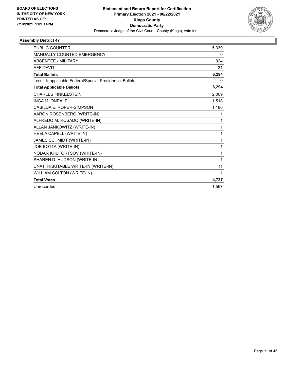

| <b>PUBLIC COUNTER</b>                                    | 5,339    |
|----------------------------------------------------------|----------|
| MANUALLY COUNTED EMERGENCY                               | 0        |
| <b>ABSENTEE / MILITARY</b>                               | 924      |
| <b>AFFIDAVIT</b>                                         | 31       |
| <b>Total Ballots</b>                                     | 6,294    |
| Less - Inapplicable Federal/Special Presidential Ballots | $\Omega$ |
| <b>Total Applicable Ballots</b>                          | 6,294    |
| <b>CHARLES FINKELSTEIN</b>                               | 2,009    |
| <b>INGA M. ONEALE</b>                                    | 1,518    |
| CASILDA E. ROPER-SIMPSON                                 | 1,180    |
| AARON ROSENBERG (WRITE-IN)                               | 1        |
| ALFREDO M. ROSADO (WRITE-IN)                             | 1        |
| ALLAN JANKOWITZ (WRITE-IN)                               | 1        |
| HEELA CAPELL (WRITE-IN)                                  | 1        |
| JAMES SCHMIDT (WRITE-IN)                                 | 1        |
| JOE BOTTA (WRITE-IN)                                     | 1        |
| NODAR KHUTORTSOV (WRITE-IN)                              | 1        |
| SHAREN D. HUDSON (WRITE-IN)                              | 1        |
| UNATTRIBUTABLE WRITE-IN (WRITE-IN)                       | 11       |
| WILLIAM COLTON (WRITE-IN)                                | 1        |
| <b>Total Votes</b>                                       | 4,727    |
| Unrecorded                                               | 1,567    |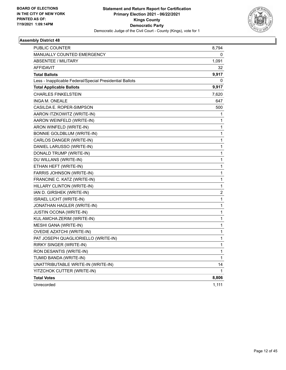

| PUBLIC COUNTER                                           | 8,794          |
|----------------------------------------------------------|----------------|
| <b>MANUALLY COUNTED EMERGENCY</b>                        | 0              |
| ABSENTEE / MILITARY                                      | 1,091          |
| <b>AFFIDAVIT</b>                                         | 32             |
| <b>Total Ballots</b>                                     | 9,917          |
| Less - Inapplicable Federal/Special Presidential Ballots | 0              |
| <b>Total Applicable Ballots</b>                          | 9,917          |
| <b>CHARLES FINKELSTEIN</b>                               | 7,620          |
| INGA M. ONEALE                                           | 647            |
| CASILDA E. ROPER-SIMPSON                                 | 500            |
| AARON ITZKOWITZ (WRITE-IN)                               | 1              |
| AARON WEINFELD (WRITE-IN)                                | 1              |
| ARON WINFELD (WRITE-IN)                                  | 1              |
| BONNIE GOLDBLUM (WRITE-IN)                               | 1              |
| CARLOS DANGER (WRITE-IN)                                 | 1              |
| DANIEL LARUSSO (WRITE-IN)                                | 1              |
| DONALD TRUMP (WRITE-IN)                                  | 1              |
| DU WILLANS (WRITE-IN)                                    | 1              |
| ETHAN HEFT (WRITE-IN)                                    | 1              |
| FARRIS JOHNSON (WRITE-IN)                                | 1              |
| FRANCINE C. KATZ (WRITE-IN)                              | 1              |
| HILLARY CLINTON (WRITE-IN)                               | 1              |
| IAN D. GIRSHEK (WRITE-IN)                                | $\overline{c}$ |
| <b>ISRAEL LICHT (WRITE-IN)</b>                           | 1              |
| JONATHAN HAGLER (WRITE-IN)                               | 1              |
| <b>JUSTIN OCONA (WRITE-IN)</b>                           | 1              |
| KUL AMCHA ZERIM (WRITE-IN)                               | 1              |
| MESHI GANA (WRITE-IN)                                    | 1              |
| OVEDIE AZATCHI (WRITE-IN)                                | 1              |
| PAT JOSEPH QUAGLIORIELLO (WRITE-IN)                      | 1              |
| RIRKY SINGER (WRITE-IN)                                  | 1              |
| RON DESANTIS (WRITE-IN)                                  | 1              |
| TUMID BANDA (WRITE-IN)                                   | 1              |
| UNATTRIBUTABLE WRITE-IN (WRITE-IN)                       | 14             |
| YITZCHOK CUTTER (WRITE-IN)                               | 1              |
| <b>Total Votes</b>                                       | 8,806          |
| Unrecorded                                               | 1,111          |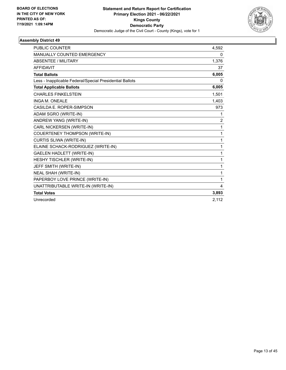

| <b>PUBLIC COUNTER</b>                                    | 4.592          |
|----------------------------------------------------------|----------------|
| <b>MANUALLY COUNTED EMERGENCY</b>                        | 0              |
| <b>ABSENTEE / MILITARY</b>                               | 1,376          |
| <b>AFFIDAVIT</b>                                         | 37             |
| <b>Total Ballots</b>                                     | 6,005          |
| Less - Inapplicable Federal/Special Presidential Ballots | 0              |
| <b>Total Applicable Ballots</b>                          | 6,005          |
| <b>CHARLES FINKELSTEIN</b>                               | 1,501          |
| <b>INGA M. ONEALE</b>                                    | 1,403          |
| CASILDA E. ROPER-SIMPSON                                 | 973            |
| ADAM SGRO (WRITE-IN)                                     | 1              |
| ANDREW YANG (WRITE-IN)                                   | $\overline{2}$ |
| CARL NICKERSEN (WRITE-IN)                                | 1              |
| <b>COUERTENEY THOMPSON (WRITE-IN)</b>                    | 1              |
| CURTIS SLIWA (WRITE-IN)                                  | 1              |
| ELAINE SCHACK-RODRIGUEZ (WRITE-IN)                       | 1              |
| <b>GAELEN HADLETT (WRITE-IN)</b>                         | 1              |
| HESHY TISCHLER (WRITE-IN)                                | 1              |
| JEFF SMITH (WRITE-IN)                                    | 1              |
| <b>NEAL SHAH (WRITE-IN)</b>                              | 1              |
| PAPERBOY LOVE PRINCE (WRITE-IN)                          | 1              |
| UNATTRIBUTABLE WRITE-IN (WRITE-IN)                       | 4              |
| <b>Total Votes</b>                                       | 3,893          |
| Unrecorded                                               | 2.112          |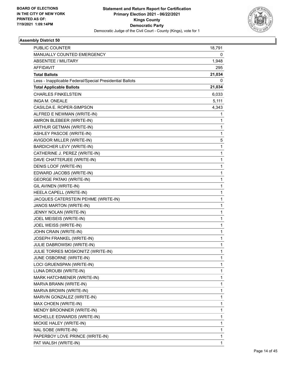

| PUBLIC COUNTER                                           | 18,791       |
|----------------------------------------------------------|--------------|
| MANUALLY COUNTED EMERGENCY                               | 0            |
| <b>ABSENTEE / MILITARY</b>                               | 1,948        |
| <b>AFFIDAVIT</b>                                         | 295          |
| <b>Total Ballots</b>                                     | 21,034       |
| Less - Inapplicable Federal/Special Presidential Ballots | 0            |
| <b>Total Applicable Ballots</b>                          | 21,034       |
| <b>CHARLES FINKELSTEIN</b>                               | 6,033        |
| <b>INGA M. ONEALE</b>                                    | 5,111        |
| CASILDA E. ROPER-SIMPSON                                 | 4,343        |
| ALFRED E NEWMAN (WRITE-IN)                               | 1            |
| AMRON BLEBEER (WRITE-IN)                                 | 1            |
| ARTHUR GETMAN (WRITE-IN)                                 | 1            |
| ASHLEY PASCOE (WRITE-IN)                                 | $\mathbf{1}$ |
| AVIGDOR MILLER (WRITE-IN)                                | 5            |
| BARDICHER LEVY (WRITE-IN)                                | 1            |
| CATHERINE J. PEREZ (WRITE-IN)                            | $\mathbf{1}$ |
| DAVE CHATTERJEE (WRITE-IN)                               | 1            |
| DENIS LOOF (WRITE-IN)                                    | 1            |
| EDWARD JACOBS (WRITE-IN)                                 | 1            |
| <b>GEORGE PATAKI (WRITE-IN)</b>                          | 1            |
| GIL AVINEN (WRITE-IN)                                    | 1            |
| HEELA CAPELL (WRITE-IN)                                  | $\mathbf{1}$ |
| JACQUES CATERSTEIN PEHME (WRITE-IN)                      | 1            |
| JANOS MARTON (WRITE-IN)                                  | 1            |
| JENNY NOLAN (WRITE-IN)                                   | 1            |
| JOEL MEISEIS (WRITE-IN)                                  | 1            |
| JOEL WEISS (WRITE-IN)                                    | 1            |
| JOHN CRAIN (WRITE-IN)                                    | $\mathbf{1}$ |
| JOSEPH FRANKEL (WRITE-IN)                                | 1            |
| JULIE DABROWSKI (WRITE-IN)                               | 1            |
| JULIE TORRES MOSKONITZ (WRITE-IN)                        | 1            |
| JUNE OSBORNE (WRITE-IN)                                  | 1            |
| LOCI GRUENSPAN (WRITE-IN)                                | 1            |
| LUNA DROUBI (WRITE-IN)                                   | 1            |
| MARK HATCHMENER (WRITE-IN)                               | 1            |
| MARVA BRANN (WRITE-IN)                                   | 1            |
| MARVA BROWN (WRITE-IN)                                   | 1            |
| MARVIN GONZALEZ (WRITE-IN)                               | 1            |
| MAX CHOEN (WRITE-IN)                                     | 1            |
| MENDY BROONNER (WRITE-IN)                                | 1            |
| MICHELLE EDWARDS (WRITE-IN)                              | 1            |
| MICKIE HALEY (WRITE-IN)                                  | 1            |
| NAL SOBE (WRITE-IN)                                      | 1            |
| PAPERBOY LOVE PRINCE (WRITE-IN)                          | 1            |
| PAT WALSH (WRITE-IN)                                     | 1            |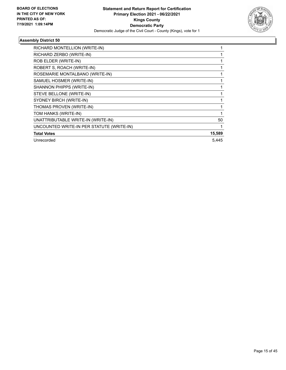

| RICHARD MONTELLION (WRITE-IN)             |        |
|-------------------------------------------|--------|
| RICHARD ZERBO (WRITE-IN)                  |        |
| ROB ELDER (WRITE-IN)                      |        |
| ROBERT S, ROACH (WRITE-IN)                |        |
| ROSEMARIE MONTALBANO (WRITE-IN)           |        |
| SAMUEL HOSMER (WRITE-IN)                  |        |
| SHANNON PHIPPS (WRITE-IN)                 |        |
| STEVE BELLONE (WRITE-IN)                  |        |
| SYDNEY BIRCH (WRITE-IN)                   |        |
| THOMAS PROVEN (WRITE-IN)                  |        |
| TOM HANKS (WRITE-IN)                      |        |
| UNATTRIBUTABLE WRITE-IN (WRITE-IN)        | 50     |
| UNCOUNTED WRITE-IN PER STATUTE (WRITE-IN) |        |
| <b>Total Votes</b>                        | 15,589 |
| Unrecorded                                | 5.445  |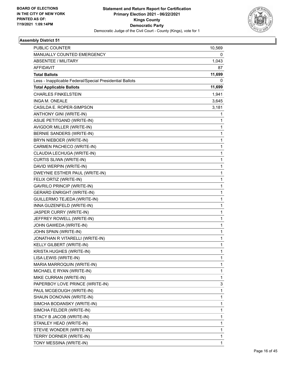

| <b>PUBLIC COUNTER</b>                                    | 10,569      |
|----------------------------------------------------------|-------------|
| MANUALLY COUNTED EMERGENCY                               | 0           |
| ABSENTEE / MILITARY                                      | 1,043       |
| <b>AFFIDAVIT</b>                                         | 87          |
| <b>Total Ballots</b>                                     | 11,699      |
| Less - Inapplicable Federal/Special Presidential Ballots | 0           |
| <b>Total Applicable Ballots</b>                          | 11,699      |
| <b>CHARLES FINKELSTEIN</b>                               | 1,941       |
| INGA M. ONEALE                                           | 3,645       |
| CASILDA E. ROPER-SIMPSON                                 | 3,181       |
| ANTHONY GINI (WRITE-IN)                                  | 1           |
| ASIJE PETITGAND (WRITE-IN)                               | 1           |
| AVIGDOR MILLER (WRITE-IN)                                | 1           |
| BERNIE SANDERS (WRITE-IN)                                | 1           |
| BRYN NIEBOER (WRITE-IN)                                  | 1           |
| CARMEN PACHECO (WRITE-IN)                                | 1           |
| CLAUDIA LECHUGA (WRITE-IN)                               | 1           |
| CURTIS SLIWA (WRITE-IN)                                  | $\mathbf 1$ |
| DAVID WERPIN (WRITE-IN)                                  | $\mathbf 1$ |
| DWEYNIE ESTHER PAUL (WRITE-IN)                           | 1           |
| FELIX ORTIZ (WRITE-IN)                                   | 1           |
| GAVRILO PRINCIP (WRITE-IN)                               | 1           |
| <b>GERARD ENRIGHT (WRITE-IN)</b>                         | 1           |
| GUILLERMO TEJEDA (WRITE-IN)                              | $\mathbf 1$ |
| INNA GUZENFELD (WRITE-IN)                                | 1           |
| JASPER CURRY (WRITE-IN)                                  | 1           |
| JEFFREY ROWELL (WRITE-IN)                                | 1           |
| JOHN GAWEDA (WRITE-IN)                                   | 1           |
| JOHN SPAIN (WRITE-IN)                                    | 1           |
| JONATHAN R VITARELLI (WRITE-IN)                          | 1           |
| KELLY GILBERT (WRITE-IN)                                 | 1           |
| KRISTA HUGHES (WRITE-IN)                                 | 1           |
| LISA LEWIS (WRITE-IN)                                    | 1           |
| MARIA MARROQUIN (WRITE-IN)                               | 1           |
| MICHAEL E RYAN (WRITE-IN)                                | 1           |
| MIKE CURRAN (WRITE-IN)                                   | 1           |
| PAPERBOY LOVE PRINCE (WRITE-IN)                          | 3           |
| PAUL MCGEOUGH (WRITE-IN)                                 | 1           |
| SHAUN DONOVAN (WRITE-IN)                                 | 1           |
| SIMCHA BODANSKY (WRITE-IN)                               | 1           |
| SIMCHA FELDER (WRITE-IN)                                 | 1           |
| STACY B JACOB (WRITE-IN)                                 | 1           |
| STANLEY HEAD (WRITE-IN)                                  | 1           |
| STEVIE WONDER (WRITE-IN)                                 | 1           |
| TERRY DORNER (WRITE-IN)                                  | 1           |
| TONY MESSINA (WRITE-IN)                                  | 1           |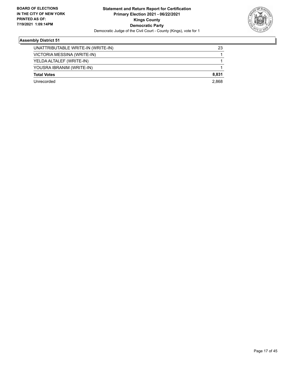

| UNATTRIBUTABLE WRITE-IN (WRITE-IN) | 23    |
|------------------------------------|-------|
| VICTORIA MESSINA (WRITE-IN)        |       |
| YELDA ALTALEF (WRITE-IN)           |       |
| YOUSRA IBRANIM (WRITE-IN)          |       |
| <b>Total Votes</b>                 | 8,831 |
| l Inrecorded                       | 2.868 |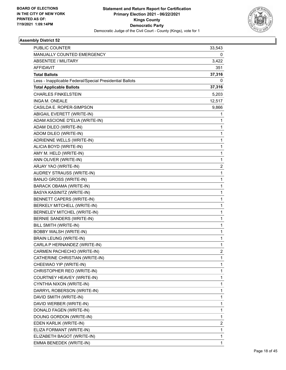

| PUBLIC COUNTER                                           | 33,543         |
|----------------------------------------------------------|----------------|
| MANUALLY COUNTED EMERGENCY                               | 0              |
| <b>ABSENTEE / MILITARY</b>                               | 3,422          |
| <b>AFFIDAVIT</b>                                         | 351            |
| <b>Total Ballots</b>                                     | 37,316         |
| Less - Inapplicable Federal/Special Presidential Ballots | 0              |
| <b>Total Applicable Ballots</b>                          | 37,316         |
| <b>CHARLES FINKELSTEIN</b>                               | 5,203          |
| INGA M. ONEALE                                           | 12,517         |
| CASILDA E. ROPER-SIMPSON                                 | 9,866          |
| ABIGAIL EVERETT (WRITE-IN)                               | 1              |
| ADAM ASCIONE D"ELIA (WRITE-IN)                           | 1              |
| ADAM DILEO (WRITE-IN)                                    | 1              |
| ADOM DILEO (WRITE-IN)                                    | 1              |
| ADRIENNE WELLS (WRITE-IN)                                | 1              |
| ALICIA BOYD (WRITE-IN)                                   | 1              |
| AMY M. HELD (WRITE-IN)                                   | 1              |
| ANN OLIVER (WRITE-IN)                                    | 1              |
| ARJAY YAO (WRITE-IN)                                     | 2              |
| AUDREY STRAUSS (WRITE-IN)                                | 1              |
| <b>BANJO GROSS (WRITE-IN)</b>                            | 1              |
| BARACK OBAMA (WRITE-IN)                                  | 1              |
| BASYA KASINITZ (WRITE-IN)                                | 1              |
| <b>BENNETT CAPERS (WRITE-IN)</b>                         | 1              |
| BERKELY MITCHELL (WRITE-IN)                              | 1              |
| BERNELEY MITCHEL (WRITE-IN)                              | 1              |
| BERNIE SANDERS (WRITE-IN)                                | 1              |
| BILL SMITH (WRITE-IN)                                    | 1              |
| <b>BOBBY WALSH (WRITE-IN)</b>                            | 1              |
| <b>BRAIN LEUNG (WRITE-IN)</b>                            | 1              |
| CARLA P HERNANDEZ (WRITE-IN)                             | 1              |
| CARMEN PACHECHO (WRITE-IN)                               | $\overline{2}$ |
| CATHERINE CHRISTIAN (WRITE-IN)                           | 1              |
| CHEEWAO YIP (WRITE-IN)                                   | 1              |
| CHRISTOPHER REO (WRITE-IN)                               | 1              |
| COURTNEY HEAVEY (WRITE-IN)                               | 1              |
| CYNTHIA NIXON (WRITE-IN)                                 | 1              |
| DARRYL ROBERSON (WRITE-IN)                               | 1              |
| DAVID SMITH (WRITE-IN)                                   | 1              |
| DAVID WERBER (WRITE-IN)                                  | 1              |
| DONALD FAGEN (WRITE-IN)                                  | 1              |
| DOUNG GORDON (WRITE-IN)                                  | 1              |
| EDEN KARLIK (WRITE-IN)                                   | 2              |
| ELIZA FORMANT (WRITE-IN)                                 | 1              |
| ELIZABETH BAGOT (WRITE-IN)                               | 1              |
| EMMA BENEDEK (WRITE-IN)                                  | 1              |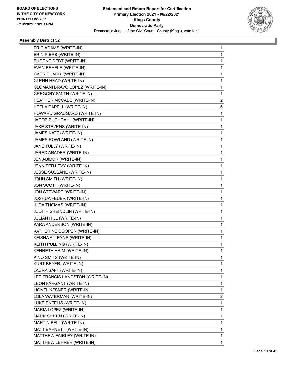

| ERIC ADAMS (WRITE-IN)           | $\mathbf{1}$ |
|---------------------------------|--------------|
| ERIN PIERS (WRITE-IN)           | 1            |
| EUGENE DEBT (WRITE-IN)          | 1            |
| EVAN BEHELE (WRITE-IN)          | 1            |
| <b>GABRIEL ACRI (WRITE-IN)</b>  | 1            |
| <b>GLENN HEAD (WRITE-IN)</b>    | 1            |
| GLOMANI BRAVO LOPEZ (WRITE-IN)  | $\mathbf 1$  |
| <b>GREGORY SMITH (WRITE-IN)</b> | 1            |
| HEATHER MCCABE (WRITE-IN)       | 2            |
| HEELA CAPELL (WRITE-IN)         | 6            |
| HOWARD GRAUGARD (WRITE-IN)      | 1            |
| JACOB BUCHDAHL (WRITE-IN)       | 1            |
| JAKE STEVENS (WRITE-IN)         | 1            |
| JAMES KATZ (WRITE-IN)           | 1            |
| JAMES ROWLAND (WRITE-IN)        | 1            |
| JANE TULLY (WRITE-IN)           | 1            |
| JARED ARADER (WRITE-IN)         | 1            |
| JEN ABIDOR (WRITE-IN)           | 1            |
| JENNIFER LEVY (WRITE-IN)        | 1            |
| JESSE SUSSANE (WRITE-IN)        | 1            |
| JOHN SMITH (WRITE-IN)           | 1            |
| JON SCOTT (WRITE-IN)            | 1            |
| JON STEWART (WRITE-IN)          | 1            |
| JOSHUA FEUER (WRITE-IN)         | 1            |
| JUDA THOMAS (WRITE-IN)          | 1            |
| JUDITH SHEINDLIN (WRITE-IN)     | 1            |
| JULIAN HILL (WRITE-IN)          | 1            |
| KARA ANDERSON (WRITE-IN)        | 1            |
| KATHERINE COOPER (WRITE-IN)     | 1            |
| KEISHA ALLEYNE (WRITE-IN)       | 1            |
| KEITH PULLING (WRITE-IN)        | 1            |
| KENNETH HAIM (WRITE-IN)         | 1            |
| KINO SMITS (WRITE-IN)           | 1            |
| KURT BEYER (WRITE-IN)           | 1            |
| LAURA SAFT (WRITE-IN)           | 1            |
| LEE FRANCIS LANGSTON (WRITE-IN) | 1            |
| LEON FARGANT (WRITE-IN)         | 1            |
| LIONEL KESNER (WRITE-IN)        | 1            |
| LOLA WATERMAN (WRITE-IN)        | 2            |
| LUKE ENTELIS (WRITE-IN)         | 1            |
| MARIA LOPEZ (WRITE-IN)          | 1            |
| MARK SHILEN (WRITE-IN)          | 1            |
| MARTIN BELL (WRITE-IN)          | 1            |
| MATT BARNETT (WRITE-IN)         | 1            |
| MATTHEW FAIRLEY (WRITE-IN)      | 1            |
| MATTHEW LEHRER (WRITE-IN)       | 1            |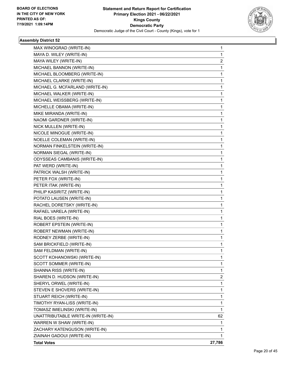

| MAX WINOGRAD (WRITE-IN)            | 1              |
|------------------------------------|----------------|
| MAYA D. WILEY (WRITE-IN)           | 1              |
| MAYA WILEY (WRITE-IN)              | $\overline{c}$ |
| MICHAEL BANNON (WRITE-IN)          | 1              |
| MICHAEL BLOOMBERG (WRITE-IN)       | 1              |
| MICHAEL CLARKE (WRITE-IN)          | 1              |
| MICHAEL G. MCFARLAND (WRITE-IN)    | 1              |
| MICHAEL WALKER (WRITE-IN)          | 1              |
| MICHAEL WEISSBERG (WRITE-IN)       | 1              |
| MICHELLE OBAMA (WRITE-IN)          | 1              |
| MIKE MIRANDA (WRITE-IN)            | 1              |
| NAOMI GARDNER (WRITE-IN)           | 1              |
| NICK MULLEN (WRITE-IN)             | 1              |
| NICOLE MINOGUE (WRITE-IN)          | 1              |
| NOELLE COLEMAN (WRITE-IN)          | 1              |
| NORMAN FINKELSTEIN (WRITE-IN)      | 1              |
| NORMAN SIEGAL (WRITE-IN)           | 1              |
| ODYSSEAS CAMBANIS (WRITE-IN)       | 1              |
| PAT WERD (WRITE-IN)                | 1              |
| PATRICK WALSH (WRITE-IN)           | 1              |
| PETER FOX (WRITE-IN)               | 1              |
| PETER ITAK (WRITE-IN)              | 1              |
| PHILIP KASIRITZ (WRITE-IN)         | 1              |
| POTATO LAUSEN (WRITE-IN)           | 1              |
| RACHEL DORETSKY (WRITE-IN)         | 1              |
| RAFAEL VARELA (WRITE-IN)           | 1              |
| RIAL BOES (WRITE-IN)               | 1              |
| <b>ROBERT EPSTEIN (WRITE-IN)</b>   | 1              |
| ROBERT NEWMAN (WRITE-IN)           | 1              |
| RODNEY ZERBE (WRITE-IN)            | 1              |
| SAM BRICKFIELD (WRITE-IN)          | 1              |
| SAM FELDMAN (WRITE-IN)             | 1              |
| SCOTT KOHANOWSKI (WRITE-IN)        | 1              |
| SCOTT SOMMER (WRITE-IN)            | 1              |
| SHANNA RISS (WRITE-IN)             | 1              |
| SHAREN D. HUDSON (WRITE-IN)        | $\overline{2}$ |
| SHERYL ORWEL (WRITE-IN)            | 1              |
| STEVEN E SHOVERS (WRITE-IN)        | 1              |
| STUART REICH (WRITE-IN)            | 1              |
| TIMOTHY RYAN-LISS (WRITE-IN)       | 1              |
| TOMASZ IMIELINSKI (WRITE-IN)       | 1              |
| UNATTRIBUTABLE WRITE-IN (WRITE-IN) | 62             |
| WARREN W SHAW (WRITE-IN)           | 1              |
| ZACHARY KATENGUSON (WRITE-IN)      | 1              |
| ZIAINAH GADOUI (WRITE-IN)          | 1              |
| <b>Total Votes</b>                 | 27,786         |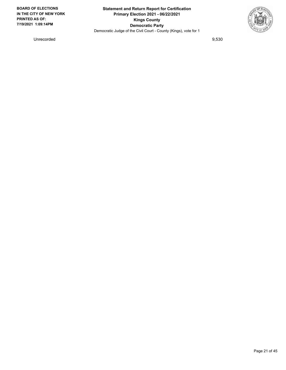

Unrecorded 9,530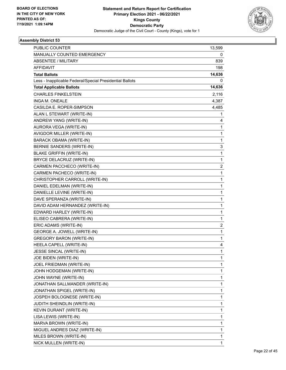

| PUBLIC COUNTER                                           | 13,599       |
|----------------------------------------------------------|--------------|
| MANUALLY COUNTED EMERGENCY                               | 0            |
| <b>ABSENTEE / MILITARY</b>                               | 839          |
| <b>AFFIDAVIT</b>                                         | 198          |
| <b>Total Ballots</b>                                     | 14,636       |
| Less - Inapplicable Federal/Special Presidential Ballots | 0            |
| <b>Total Applicable Ballots</b>                          | 14,636       |
| <b>CHARLES FINKELSTEIN</b>                               | 2,116        |
| INGA M. ONEALE                                           | 4,387        |
| CASILDA E. ROPER-SIMPSON                                 | 4,485        |
| ALAN L STEWART (WRITE-IN)                                | 1            |
| ANDREW YANG (WRITE-IN)                                   | 4            |
| AURORA VEGA (WRITE-IN)                                   | 1            |
| AVIGDOR MILLER (WRITE-IN)                                | $\mathbf{1}$ |
| <b>BARACK OBAMA (WRITE-IN)</b>                           | 1            |
| BERNIE SANDERS (WRITE-IN)                                | 3            |
| <b>BLAKE GRIFFIN (WRITE-IN)</b>                          | $\mathbf{1}$ |
| BRYCE DELACRUZ (WRITE-IN)                                | 1            |
| CARMEN PACCHECO (WRITE-IN)                               | 2            |
| CARMEN PACHECO (WRITE-IN)                                | 1            |
| CHRISTOPHER CARROLL (WRITE-IN)                           | 1            |
| DANIEL EDELMAN (WRITE-IN)                                | 1            |
| DANIELLE LEVINE (WRITE-IN)                               | $\mathbf{1}$ |
| DAVE SPERANZA (WRITE-IN)                                 | 1            |
| DAVID ADAM HERNANDEZ (WRITE-IN)                          | 1            |
| EDWARD HARLEY (WRITE-IN)                                 | $\mathbf{1}$ |
| ELISEO CABRERA (WRITE-IN)                                | 1            |
| ERIC ADAMS (WRITE-IN)                                    | 2            |
| GEORGE A. JOWELL (WRITE-IN)                              | $\mathbf{1}$ |
| <b>GREGORY BARON (WRITE-IN)</b>                          | 1            |
| HEELA CAPELL (WRITE-IN)                                  | 4            |
| JESSE SINCAL (WRITE-IN)                                  | 1            |
| JOE BIDEN (WRITE-IN)                                     | 1            |
| JOEL FRIEDMAN (WRITE-IN)                                 | 1            |
| JOHN HODGEMAN (WRITE-IN)                                 | 1            |
| JOHN WAYNE (WRITE-IN)                                    | 1            |
| JONATHAN SALLMANDER (WRITE-IN)                           | 1            |
| JONATHAN SPIGEL (WRITE-IN)                               | 1            |
| JOSPEH BOLOGNESE (WRITE-IN)                              | 1            |
| JUDITH SHEINDLIN (WRITE-IN)                              | 1            |
| KEVIN DURANT (WRITE-IN)                                  | 1            |
| LISA LEWIS (WRITE-IN)                                    | 1            |
| MARVA BROWN (WRITE-IN)                                   | 1            |
| MIGUEL ANDRES DIAZ (WRITE-IN)                            | 1            |
| MILES BROWN (WRITE-IN)                                   | 1            |
| NICK MULLEN (WRITE-IN)                                   | 1            |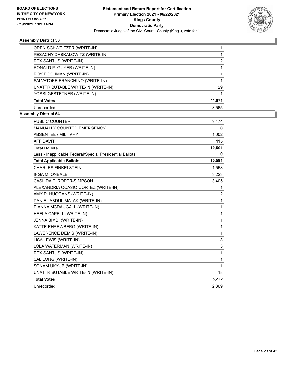

| OREN SCHWEITZER (WRITE-IN)         |               |
|------------------------------------|---------------|
| PESACHY DASKALOWITZ (WRITE-IN)     |               |
| <b>REX SANTUS (WRITE-IN)</b>       | $\mathcal{P}$ |
| RONALD P. GUYER (WRITE-IN)         |               |
| ROY FISCHMAN (WRITE-IN)            |               |
| SALVATORE FRANCHINO (WRITE-IN)     |               |
| UNATTRIBUTABLE WRITE-IN (WRITE-IN) | 29            |
| YOSSI GESTETNER (WRITE-IN)         |               |
| <b>Total Votes</b>                 | 11,071        |
| Unrecorded                         | 3,565         |

| <b>PUBLIC COUNTER</b>                                    | 9,474          |
|----------------------------------------------------------|----------------|
| MANUALLY COUNTED EMERGENCY                               | 0              |
| <b>ABSENTEE / MILITARY</b>                               | 1,002          |
| <b>AFFIDAVIT</b>                                         | 115            |
| <b>Total Ballots</b>                                     | 10,591         |
| Less - Inapplicable Federal/Special Presidential Ballots | 0              |
| <b>Total Applicable Ballots</b>                          | 10,591         |
| <b>CHARLES FINKELSTEIN</b>                               | 1,558          |
| INGA M. ONEALE                                           | 3,223          |
| CASILDA E. ROPER-SIMPSON                                 | 3,405          |
| ALEXANDRIA OCASIO CORTEZ (WRITE-IN)                      | 1              |
| AMY R. HUGGANS (WRITE-IN)                                | $\overline{2}$ |
| DANIEL ABDUL MALAK (WRITE-IN)                            | 1              |
| DIANNA MCDAUGALL (WRITE-IN)                              | 1              |
| HEELA CAPELL (WRITE-IN)                                  | 1              |
| JENNA BIMBI (WRITE-IN)                                   | 1              |
| KATTE EHREWBERG (WRITE-IN)                               | 1              |
| LAWERENCE DEMIS (WRITE-IN)                               | 1              |
| LISA LEWIS (WRITE-IN)                                    | 3              |
| LOLA WATERMAN (WRITE-IN)                                 | 3              |
| REX SANTUS (WRITE-IN)                                    | 1              |
| SAL LONG (WRITE-IN)                                      | 1              |
| SONAM UKYUB (WRITE-IN)                                   | 1              |
| UNATTRIBUTABLE WRITE-IN (WRITE-IN)                       | 18             |
| <b>Total Votes</b>                                       | 8,222          |
| Unrecorded                                               | 2,369          |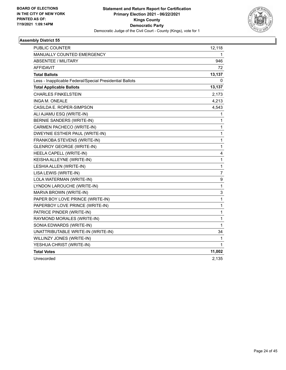

| PUBLIC COUNTER                                           | 12,118         |
|----------------------------------------------------------|----------------|
| <b>MANUALLY COUNTED EMERGENCY</b>                        | 1.             |
| <b>ABSENTEE / MILITARY</b>                               | 946            |
| AFFIDAVIT                                                | 72             |
| <b>Total Ballots</b>                                     | 13,137         |
| Less - Inapplicable Federal/Special Presidential Ballots | 0              |
| <b>Total Applicable Ballots</b>                          | 13,137         |
| <b>CHARLES FINKELSTEIN</b>                               | 2,173          |
| <b>INGA M. ONEALE</b>                                    | 4,213          |
| CASILDA E. ROPER-SIMPSON                                 | 4,543          |
| ALI AJAMU ESQ (WRITE-IN)                                 | 1              |
| BERNIE SANDERS (WRITE-IN)                                | 1              |
| CARMEN PACHECO (WRITE-IN)                                | 1              |
| DWEYNIE ESTHER PAUL (WRITE-IN)                           | 1              |
| FRANKOBA STEVENS (WRITE-IN)                              | 1              |
| <b>GLENROY GEORGE (WRITE-IN)</b>                         | 1              |
| HEELA CAPELL (WRITE-IN)                                  | 4              |
| KEISHA ALLEYNE (WRITE-IN)                                | 1              |
| LESHIA ALLEN (WRITE-IN)                                  | $\mathbf{1}$   |
| LISA LEWIS (WRITE-IN)                                    | $\overline{7}$ |
| LOLA WATERMAN (WRITE-IN)                                 | 9              |
| LYNDON LAROUCHE (WRITE-IN)                               | 1              |
| MARVA BROWN (WRITE-IN)                                   | 3              |
| PAPER BOY LOVE PRINCE (WRITE-IN)                         | $\mathbf{1}$   |
| PAPERBOY LOVE PRINCE (WRITE-IN)                          | 1              |
| PATRICE PINDER (WRITE-IN)                                | 1              |
| RAYMOND MORALES (WRITE-IN)                               | 1              |
| SONIA EDWARDS (WRITE-IN)                                 | 1              |
| UNATTRIBUTABLE WRITE-IN (WRITE-IN)                       | 34             |
| WILLINZY JONES (WRITE-IN)                                | 1              |
| YESHUA CHRIST (WRITE-IN)                                 | 1              |
| <b>Total Votes</b>                                       | 11,002         |
| Unrecorded                                               | 2,135          |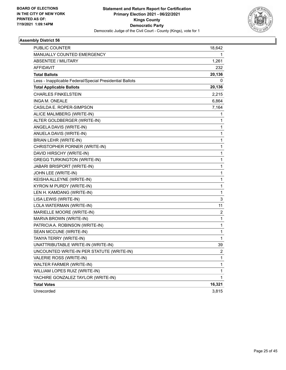

| <b>PUBLIC COUNTER</b>                                    | 18,642         |
|----------------------------------------------------------|----------------|
| MANUALLY COUNTED EMERGENCY                               | 1              |
| <b>ABSENTEE / MILITARY</b>                               | 1,261          |
| AFFIDAVIT                                                | 232            |
| <b>Total Ballots</b>                                     | 20,136         |
| Less - Inapplicable Federal/Special Presidential Ballots | 0              |
| <b>Total Applicable Ballots</b>                          | 20,136         |
| <b>CHARLES FINKELSTEIN</b>                               | 2,215          |
| INGA M. ONEALE                                           | 6,864          |
| CASILDA E. ROPER-SIMPSON                                 | 7,164          |
| ALICE MALMBERG (WRITE-IN)                                | 1              |
| ALTER GOLDBERGER (WRITE-IN)                              | 1              |
| ANGELA DAVIS (WRITE-IN)                                  | 1              |
| ANUELA DAVIS (WRITE-IN)                                  | 1              |
| BRIAN LEHR (WRITE-IN)                                    | 1              |
| CHRISTOPHER PORNER (WRITE-IN)                            | 1              |
| DAVID HIRSCHY (WRITE-IN)                                 | $\mathbf{1}$   |
| <b>GREGG TURKINGTON (WRITE-IN)</b>                       | 1              |
| JABARI BRISPORT (WRITE-IN)                               | 1              |
| JOHN LEE (WRITE-IN)                                      | 1              |
| KEISHA ALLEYNE (WRITE-IN)                                | 1              |
| KYRON M PURDY (WRITE-IN)                                 | 1              |
| LEN H. KAMDANG (WRITE-IN)                                | 1              |
| LISA LEWIS (WRITE-IN)                                    | 3              |
| LOLA WATERMAN (WRITE-IN)                                 | 11             |
| MARIELLE MOORE (WRITE-IN)                                | 2              |
| MARVA BROWN (WRITE-IN)                                   | 1              |
| PATRICIA A. ROBINSON (WRITE-IN)                          | 1              |
| SEAN MCCUNE (WRITE-IN)                                   | 1              |
| TANYA TERRY (WRITE-IN)                                   | 1              |
| UNATTRIBUTABLE WRITE-IN (WRITE-IN)                       | 39             |
| UNCOUNTED WRITE-IN PER STATUTE (WRITE-IN)                | $\overline{2}$ |
| VALERIE ROSS (WRITE-IN)                                  | 1              |
| WALTER FARMER (WRITE-IN)                                 | 1              |
| WILLIAM LOPES RUIZ (WRITE-IN)                            | 1              |
| YACHIRE GONZALEZ TAYLOR (WRITE-IN)                       | 1              |
| <b>Total Votes</b>                                       | 16,321         |
| Unrecorded                                               | 3,815          |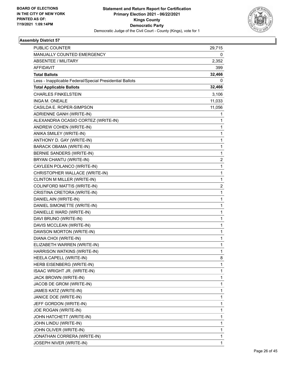

| PUBLIC COUNTER                                           | 29,715 |
|----------------------------------------------------------|--------|
| MANUALLY COUNTED EMERGENCY                               | 0      |
| <b>ABSENTEE / MILITARY</b>                               | 2,352  |
| <b>AFFIDAVIT</b>                                         | 399    |
| <b>Total Ballots</b>                                     | 32,466 |
| Less - Inapplicable Federal/Special Presidential Ballots | 0      |
| <b>Total Applicable Ballots</b>                          | 32,466 |
| <b>CHARLES FINKELSTEIN</b>                               | 3,106  |
| INGA M. ONEALE                                           | 11,033 |
| CASILDA E. ROPER-SIMPSON                                 | 11,056 |
| ADRIENNE GANH (WRITE-IN)                                 | 1      |
| ALEXANDRIA OCASIO CORTEZ (WRITE-IN)                      | 1      |
| ANDREW COHEN (WRITE-IN)                                  | 1      |
| ANIKA SMILEY (WRITE-IN)                                  | 1      |
| ANTHONY D. GAY (WRITE-IN)                                | 1      |
| <b>BARACK OBAMA (WRITE-IN)</b>                           | 1      |
| BERNIE SANDERS (WRITE-IN)                                | 1      |
| BRYAN CHANTU (WRITE-IN)                                  | 2      |
| CAYLEEN POLANCO (WRITE-IN)                               | 1      |
| CHRISTOPHER WALLACE (WRITE-IN)                           | 1      |
| CLINTON M MILLER (WRITE-IN)                              | 1      |
| COLINFORD MATTIS (WRITE-IN)                              | 2      |
| CRISTINA CRETORA (WRITE-IN)                              | 1      |
| DANIEL AIN (WRITE-IN)                                    | 1      |
| DANIEL SIMONETTE (WRITE-IN)                              | 1      |
| DANIELLE WARD (WRITE-IN)                                 | 1      |
| DAVI BRUNO (WRITE-IN)                                    | 1      |
| DAVIS MCCLEAN (WRITE-IN)                                 | 1      |
| DAWSON MORTON (WRITE-IN)                                 | 1      |
| DIANA CHOI (WRITE-IN)                                    | 1      |
| ELIZABETH WARREN (WRITE-IN)                              | 1      |
| HARRISON WATKINS (WRITE-IN)                              | 1      |
| HEELA CAPELL (WRITE-IN)                                  | 8      |
| HERB EISENBERG (WRITE-IN)                                | 1      |
| ISAAC WRIGHT JR. (WRITE-IN)                              | 1      |
| JACK BROWN (WRITE-IN)                                    | 1      |
| JACOB DE GROM (WRITE-IN)                                 | 1      |
| JAMES KATZ (WRITE-IN)                                    | 1      |
| JANICE DOE (WRITE-IN)                                    | 1      |
| JEFF GORDON (WRITE-IN)                                   | 1      |
| JOE ROGAN (WRITE-IN)                                     | 1      |
| JOHN HATCHETT (WRITE-IN)                                 | 1      |
| JOHN LINDU (WRITE-IN)                                    | 1      |
| JOHN OLIVER (WRITE-IN)                                   | 1      |
| JONATHAN CORRERA (WRITE-IN)                              | 1      |
| JOSEPH NIVER (WRITE-IN)                                  | 1      |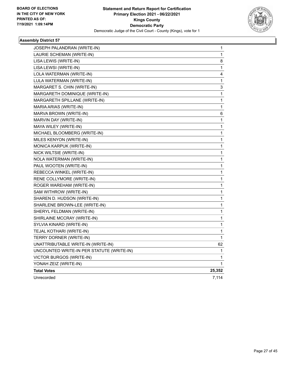

| JOSEPH PALANDRAN (WRITE-IN)               | 1      |
|-------------------------------------------|--------|
| LAURIE SCHEMAN (WRITE-IN)                 | 1      |
| LISA LEWIS (WRITE-IN)                     | 8      |
| LISA LEWSI (WRITE-IN)                     | 1      |
| LOLA WATERMAN (WRITE-IN)                  | 4      |
| LULA WATERMAN (WRITE-IN)                  | 1      |
| MARGARET S. CHIN (WRITE-IN)               | 3      |
| MARGARETH DOMINIQUE (WRITE-IN)            | 1      |
| MARGARETH SPILLANE (WRITE-IN)             | 1      |
| MARIA ARIAS (WRITE-IN)                    | 1      |
| MARVA BROWN (WRITE-IN)                    | 6      |
| MARVIN DAY (WRITE-IN)                     | 1      |
| MAYA WILEY (WRITE-IN)                     | 1      |
| MICHAEL BLOOMBERG (WRITE-IN)              | 1      |
| MILES KENYON (WRITE-IN)                   | 1      |
| MONICA KARPUK (WRITE-IN)                  | 1      |
| NICK WILTSIE (WRITE-IN)                   | 1      |
| NOLA WATERMAN (WRITE-IN)                  | 1      |
| PAUL WOOTEN (WRITE-IN)                    | 1      |
| REBECCA WINKEL (WRITE-IN)                 | 1      |
| RENE COLLYMORE (WRITE-IN)                 | 1      |
| ROGER WAREHAM (WRITE-IN)                  | 1      |
| SAM WITHROW (WRITE-IN)                    | 1      |
| SHAREN D. HUDSON (WRITE-IN)               | 1      |
| SHARLENE BROWN-LEE (WRITE-IN)             | 1      |
| SHERYL FELDMAN (WRITE-IN)                 | 1      |
| SHIRLAINE MCCRAY (WRITE-IN)               | 1      |
| SYLVIA KINARD (WRITE-IN)                  | 1      |
| TEJAL KOTHARI (WRITE-IN)                  | 1      |
| TERRY DORNER (WRITE-IN)                   | 1      |
| UNATTRIBUTABLE WRITE-IN (WRITE-IN)        | 62     |
| UNCOUNTED WRITE-IN PER STATUTE (WRITE-IN) | 1      |
| VICTOR BURGOS (WRITE-IN)                  | 1      |
| YONAH ZEIZ (WRITE-IN)                     | 1      |
| <b>Total Votes</b>                        | 25,352 |
| Unrecorded                                | 7,114  |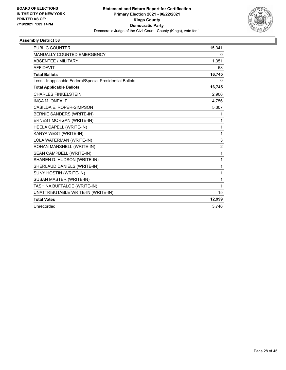

| PUBLIC COUNTER                                           | 15,341         |
|----------------------------------------------------------|----------------|
| MANUALLY COUNTED EMERGENCY                               | 0              |
| <b>ABSENTEE / MILITARY</b>                               | 1,351          |
| <b>AFFIDAVIT</b>                                         | 53             |
| <b>Total Ballots</b>                                     | 16,745         |
| Less - Inapplicable Federal/Special Presidential Ballots | $\Omega$       |
| <b>Total Applicable Ballots</b>                          | 16,745         |
| <b>CHARLES FINKELSTEIN</b>                               | 2,906          |
| <b>INGA M. ONEALE</b>                                    | 4,756          |
| CASILDA E. ROPER-SIMPSON                                 | 5,307          |
| BERNIE SANDERS (WRITE-IN)                                | 1              |
| ERNEST MORGAN (WRITE-IN)                                 | $\mathbf{1}$   |
| HEELA CAPELL (WRITE-IN)                                  | $\mathbf{1}$   |
| KANYA WEST (WRITE-IN)                                    | $\mathbf{1}$   |
| LOLA WATERMAN (WRITE-IN)                                 | $\mathsf 3$    |
| ROHAN MANSHELL (WRITE-IN)                                | $\overline{2}$ |
| SEAN CAMPBELL (WRITE-IN)                                 | $\mathbf{1}$   |
| SHAREN D. HUDSON (WRITE-IN)                              | $\mathbf{1}$   |
| SHERLAUD DANIELS (WRITE-IN)                              | $\mathbf{1}$   |
| SUNY HOSTIN (WRITE-IN)                                   | 1              |
| SUSAN MASTER (WRITE-IN)                                  | $\mathbf{1}$   |
| TASHINA BUFFALOE (WRITE-IN)                              | $\mathbf{1}$   |
| UNATTRIBUTABLE WRITE-IN (WRITE-IN)                       | 15             |
| <b>Total Votes</b>                                       | 12,999         |
| Unrecorded                                               | 3,746          |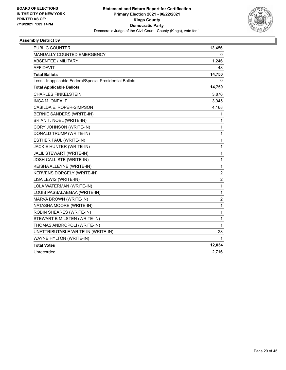

| <b>PUBLIC COUNTER</b>                                    | 13,456           |
|----------------------------------------------------------|------------------|
| <b>MANUALLY COUNTED EMERGENCY</b>                        | 0                |
| <b>ABSENTEE / MILITARY</b>                               | 1,246            |
| <b>AFFIDAVIT</b>                                         | 48               |
| <b>Total Ballots</b>                                     | 14,750           |
| Less - Inapplicable Federal/Special Presidential Ballots | 0                |
| <b>Total Applicable Ballots</b>                          | 14,750           |
| <b>CHARLES FINKELSTEIN</b>                               | 3,876            |
| <b>INGA M. ONEALE</b>                                    | 3,945            |
| CASILDA E. ROPER-SIMPSON                                 | 4,168            |
| BERNIE SANDERS (WRITE-IN)                                | 1                |
| BRIAN T. NOEL (WRITE-IN)                                 | 1                |
| CORY JOHNSON (WRITE-IN)                                  | 1                |
| DONALD TRUMP (WRITE-IN)                                  | $\mathbf{1}$     |
| ESTHER PAUL (WRITE-IN)                                   | $\mathbf{1}$     |
| JACKIE HUNTER (WRITE-IN)                                 | $\mathbf{1}$     |
| JALIL STEWART (WRITE-IN)                                 | $\mathbf 1$      |
| JOSH CALLISTE (WRITE-IN)                                 | $\mathbf{1}$     |
| KEISHA ALLEYNE (WRITE-IN)                                | $\mathbf{1}$     |
| KERVENS DORCELY (WRITE-IN)                               | $\overline{c}$   |
| LISA LEWIS (WRITE-IN)                                    | $\overline{c}$   |
| LOLA WATERMAN (WRITE-IN)                                 | $\mathbf{1}$     |
| LOUIS PASSALAEGAA (WRITE-IN)                             | $\mathbf{1}$     |
| MARVA BROWN (WRITE-IN)                                   | $\boldsymbol{2}$ |
| NATASHA MOORE (WRITE-IN)                                 | $\mathbf{1}$     |
| ROBIN SHEARES (WRITE-IN)                                 | $\mathbf{1}$     |
| STEWART B MILSTEN (WRITE-IN)                             | $\mathbf 1$      |
| THOMAS ANDROPOLI (WRITE-IN)                              | $\mathbf{1}$     |
| UNATTRIBUTABLE WRITE-IN (WRITE-IN)                       | 23               |
| WAYNE HYLTON (WRITE-IN)                                  | 1                |
| <b>Total Votes</b>                                       | 12,034           |
| Unrecorded                                               | 2,716            |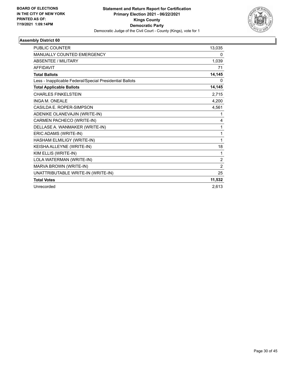

| <b>PUBLIC COUNTER</b>                                    | 13,035         |
|----------------------------------------------------------|----------------|
| MANUALLY COUNTED EMERGENCY                               | 0              |
| ABSENTEE / MILITARY                                      | 1,039          |
| <b>AFFIDAVIT</b>                                         | 71             |
| <b>Total Ballots</b>                                     | 14,145         |
| Less - Inapplicable Federal/Special Presidential Ballots | 0              |
| <b>Total Applicable Ballots</b>                          | 14,145         |
| <b>CHARLES FINKELSTEIN</b>                               | 2,715          |
| <b>INGA M. ONEALE</b>                                    | 4,200          |
| CASILDA E. ROPER-SIMPSON                                 | 4,561          |
| ADENIKE OLANEVAJIN (WRITE-IN)                            | 1              |
| CARMEN PACHECO (WRITE-IN)                                | 4              |
| DELLASE A. WANMAKER (WRITE-IN)                           | 1              |
| ERIC ADAMS (WRITE-IN)                                    | 1              |
| HASHAM ELMILIGY (WRITE-IN)                               | 1              |
| KEISHA ALLEYNE (WRITE-IN)                                | 18             |
| KIM ELLIS (WRITE-IN)                                     | 1              |
| LOLA WATERMAN (WRITE-IN)                                 | $\overline{c}$ |
| MARVA BROWN (WRITE-IN)                                   | $\overline{2}$ |
| UNATTRIBUTABLE WRITE-IN (WRITE-IN)                       | 25             |
| <b>Total Votes</b>                                       | 11,532         |
| Unrecorded                                               | 2.613          |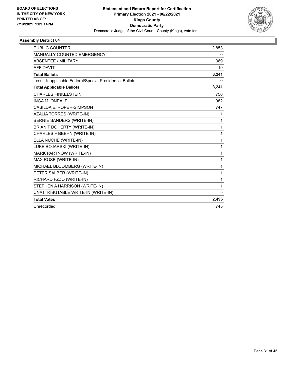

| <b>PUBLIC COUNTER</b>                                    | 2,853 |
|----------------------------------------------------------|-------|
| <b>MANUALLY COUNTED EMERGENCY</b>                        | 0     |
| ABSENTEE / MILITARY                                      | 369   |
| <b>AFFIDAVIT</b>                                         | 19    |
| <b>Total Ballots</b>                                     | 3,241 |
| Less - Inapplicable Federal/Special Presidential Ballots | 0     |
| <b>Total Applicable Ballots</b>                          | 3,241 |
| <b>CHARLES FINKELSTEIN</b>                               | 750   |
| <b>INGA M. ONEALE</b>                                    | 982   |
| CASILDA E. ROPER-SIMPSON                                 | 747   |
| AZALIA TORRES (WRITE-IN)                                 | 1     |
| <b>BERNIE SANDERS (WRITE-IN)</b>                         | 1     |
| <b>BRIAN T DOHERTY (WRITE-IN)</b>                        | 1     |
| CHARLES F BEEHN (WRITE-IN)                               | 1     |
| ELLA NUCHE (WRITE-IN)                                    | 1     |
| LUKE BOJARSKI (WRITE-IN)                                 | 1     |
| MARK PARTNOW (WRITE-IN)                                  | 1     |
| MAX ROSE (WRITE-IN)                                      | 1     |
| MICHAEL BLOOMBERG (WRITE-IN)                             | 1     |
| PETER SALBER (WRITE-IN)                                  | 1     |
| RICHARD FZZO (WRITE-IN)                                  | 1     |
| STEPHEN A HARRISON (WRITE-IN)                            | 1     |
| UNATTRIBUTABLE WRITE-IN (WRITE-IN)                       | 5     |
| <b>Total Votes</b>                                       | 2,496 |
| Unrecorded                                               | 745   |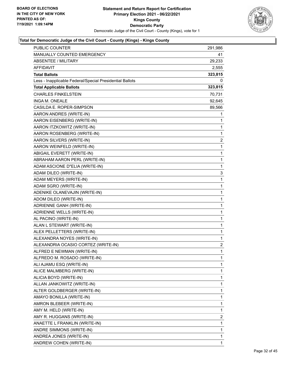

| <b>PUBLIC COUNTER</b>                                    | 291,986        |
|----------------------------------------------------------|----------------|
| MANUALLY COUNTED EMERGENCY                               | 41             |
| <b>ABSENTEE / MILITARY</b>                               | 29,233         |
| <b>AFFIDAVIT</b>                                         | 2,555          |
| <b>Total Ballots</b>                                     | 323,815        |
| Less - Inapplicable Federal/Special Presidential Ballots | 0              |
| <b>Total Applicable Ballots</b>                          | 323,815        |
| <b>CHARLES FINKELSTEIN</b>                               | 70,731         |
| INGA M. ONEALE                                           | 92,645         |
| CASILDA E. ROPER-SIMPSON                                 | 89,566         |
| AARON ANDRES (WRITE-IN)                                  | 1              |
| AARON EISENBERG (WRITE-IN)                               | 1              |
| AARON ITZKOWITZ (WRITE-IN)                               | 1              |
| AARON ROSENBERG (WRITE-IN)                               | 1              |
| AARON SILVERS (WRITE-IN)                                 | $\overline{2}$ |
| AARON WEINFELD (WRITE-IN)                                | 1              |
| ABIGAIL EVERETT (WRITE-IN)                               | 1              |
| ABRAHAM AARON PERL (WRITE-IN)                            | 1              |
| ADAM ASCIONE D"ELIA (WRITE-IN)                           | 1              |
| ADAM DILEO (WRITE-IN)                                    | 3              |
| ADAM MEYERS (WRITE-IN)                                   | 1              |
| ADAM SGRO (WRITE-IN)                                     | 1              |
| ADENIKE OLANEVAJIN (WRITE-IN)                            | 1              |
| ADOM DILEO (WRITE-IN)                                    | 1              |
| ADRIENNE GANH (WRITE-IN)                                 | 1              |
| ADRIENNE WELLS (WRITE-IN)                                | 1              |
| AL PACINO (WRITE-IN)                                     | 1              |
| ALAN L STEWART (WRITE-IN)                                | 1              |
| ALEX PELLETTERS (WRITE-IN)                               | 1              |
| ALEXANDRA NOYES (WRITE-IN)                               | 1              |
| ALEXANDRIA OCASIO CORTEZ (WRITE-IN)                      | 2              |
| ALFRED E NEWMAN (WRITE-IN)                               | 1              |
| ALFREDO M. ROSADO (WRITE-IN)                             | 1              |
| ALI AJAMU ESQ (WRITE-IN)                                 | 1              |
| ALICE MALMBERG (WRITE-IN)                                | 1              |
| ALICIA BOYD (WRITE-IN)                                   | 1              |
| ALLAN JANKOWITZ (WRITE-IN)                               | 1              |
| ALTER GOLDBERGER (WRITE-IN)                              | 1              |
| AMAYO BONILLA (WRITE-IN)                                 | 1              |
| AMRON BLEBEER (WRITE-IN)                                 | 1              |
| AMY M. HELD (WRITE-IN)                                   | 1              |
| AMY R. HUGGANS (WRITE-IN)                                | 2              |
| ANAETTE L FRANKLIN (WRITE-IN)                            | 1              |
| ANDRE SIMMONS (WRITE-IN)                                 | 1              |
| ANDREA JONES (WRITE-IN)                                  | 1              |
| ANDREW COHEN (WRITE-IN)                                  | 1              |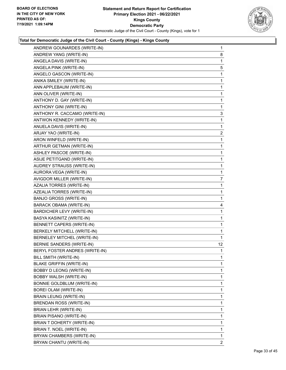

| ANDREW GOUNARDES (WRITE-IN)      | $\mathbf{1}$    |
|----------------------------------|-----------------|
| ANDREW YANG (WRITE-IN)           | 8               |
| ANGELA DAVIS (WRITE-IN)          | 1               |
| ANGELA PINK (WRITE-IN)           | 5               |
| ANGELO GASCON (WRITE-IN)         | 1               |
| ANIKA SMILEY (WRITE-IN)          | 1               |
| ANN APPLEBAUM (WRITE-IN)         | $\mathbf{1}$    |
| ANN OLIVER (WRITE-IN)            | $\mathbf{1}$    |
| ANTHONY D. GAY (WRITE-IN)        | 1               |
| ANTHONY GINI (WRITE-IN)          | 1               |
| ANTHONY R. CACCAMO (WRITE-IN)    | 3               |
| ANTWON KENNEDY (WRITE-IN)        | 1               |
| ANUELA DAVIS (WRITE-IN)          | 1               |
| ARJAY YAO (WRITE-IN)             | 2               |
| ARON WINFELD (WRITE-IN)          | 1               |
| ARTHUR GETMAN (WRITE-IN)         | $\mathbf{1}$    |
| ASHLEY PASCOE (WRITE-IN)         | $\mathbf{1}$    |
| ASIJE PETITGAND (WRITE-IN)       | 1               |
| <b>AUDREY STRAUSS (WRITE-IN)</b> | $\mathbf{1}$    |
| AURORA VEGA (WRITE-IN)           | $\mathbf{1}$    |
| AVIGDOR MILLER (WRITE-IN)        | 7               |
| AZALIA TORRES (WRITE-IN)         | $\mathbf{1}$    |
| AZEALIA TORRES (WRITE-IN)        | $\mathbf{1}$    |
| <b>BANJO GROSS (WRITE-IN)</b>    | 1               |
| <b>BARACK OBAMA (WRITE-IN)</b>   | 4               |
| <b>BARDICHER LEVY (WRITE-IN)</b> | 1               |
| BASYA KASINITZ (WRITE-IN)        | 1               |
| BENNETT CAPERS (WRITE-IN)        | $\mathbf{1}$    |
| BERKELY MITCHELL (WRITE-IN)      | $\mathbf 1$     |
| BERNELEY MITCHEL (WRITE-IN)      | 1               |
| <b>BERNIE SANDERS (WRITE-IN)</b> | 12 <sup>°</sup> |
| BERYL FOSTER ANDRES (WRITE-IN)   | $\mathbf 1$     |
| BILL SMITH (WRITE-IN)            | 1               |
| <b>BLAKE GRIFFIN (WRITE-IN)</b>  | 1               |
| BOBBY D LEONG (WRITE-IN)         | 1               |
| BOBBY WALSH (WRITE-IN)           | 1               |
| BONNIE GOLDBLUM (WRITE-IN)       | 1               |
| BOREI OLAM (WRITE-IN)            | 1               |
| <b>BRAIN LEUNG (WRITE-IN)</b>    | 1               |
| BRENDAN ROSS (WRITE-IN)          | 1               |
| BRIAN LEHR (WRITE-IN)            | 1               |
| <b>BRIAN PISANO (WRITE-IN)</b>   | 1               |
| BRIAN T DOHERTY (WRITE-IN)       | 1               |
| BRIAN T. NOEL (WRITE-IN)         | 1               |
| BRYAN CHAMBERS (WRITE-IN)        | 1               |
| BRYAN CHANTU (WRITE-IN)          | $\overline{2}$  |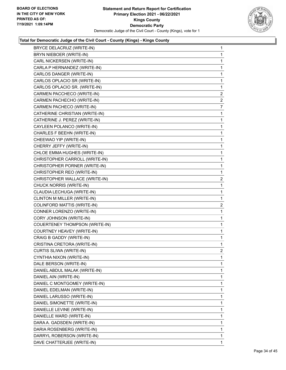

| BRYCE DELACRUZ (WRITE-IN)             | $\mathbf{1}$   |
|---------------------------------------|----------------|
| BRYN NIEBOER (WRITE-IN)               | $\mathbf{1}$   |
| CARL NICKERSEN (WRITE-IN)             | $\mathbf{1}$   |
| CARLA P HERNANDEZ (WRITE-IN)          | $\mathbf{1}$   |
| CARLOS DANGER (WRITE-IN)              | $\mathbf{1}$   |
| CARLOS OPLACIO SR (WRITE-IN)          | $\mathbf{1}$   |
| CARLOS OPLACIO SR. (WRITE-IN)         | 1              |
| CARMEN PACCHECO (WRITE-IN)            | $\overline{2}$ |
| CARMEN PACHECHO (WRITE-IN)            | $\overline{2}$ |
| CARMEN PACHECO (WRITE-IN)             | 7              |
| CATHERINE CHRISTIAN (WRITE-IN)        | $\mathbf{1}$   |
| CATHERINE J. PEREZ (WRITE-IN)         | $\mathbf{1}$   |
| CAYLEEN POLANCO (WRITE-IN)            | $\mathbf 1$    |
| CHARLES F BEEHN (WRITE-IN)            | $\mathbf{1}$   |
| CHEEWAO YIP (WRITE-IN)                | $\mathbf{1}$   |
| CHERRY JEFFY (WRITE-IN)               | $\mathbf{1}$   |
| CHLOE EMMA HUGHES (WRITE-IN)          | $\mathbf{1}$   |
| CHRISTOPHER CARROLL (WRITE-IN)        | $\mathbf{1}$   |
| CHRISTOPHER PORNER (WRITE-IN)         | $\mathbf 1$    |
| CHRISTOPHER REO (WRITE-IN)            | 1              |
| CHRISTOPHER WALLACE (WRITE-IN)        | $\overline{2}$ |
| CHUCK NORRIS (WRITE-IN)               | $\mathbf{1}$   |
| CLAUDIA LECHUGA (WRITE-IN)            | $\mathbf{1}$   |
| CLINTON M MILLER (WRITE-IN)           | $\mathbf{1}$   |
| COLINFORD MATTIS (WRITE-IN)           | $\overline{c}$ |
| CONNER LORENZO (WRITE-IN)             | $\mathbf{1}$   |
| CORY JOHNSON (WRITE-IN)               | $\mathbf{1}$   |
| <b>COUERTENEY THOMPSON (WRITE-IN)</b> | $\mathbf{1}$   |
| COURTNEY HEAVEY (WRITE-IN)            | $\mathbf{1}$   |
| CRAIG B GADDY (WRITE-IN)              | $\mathbf{1}$   |
| CRISTINA CRETORA (WRITE-IN)           | 1              |
| CURTIS SLIWA (WRITE-IN)               | $\overline{2}$ |
| CYNTHIA NIXON (WRITE-IN)              | 1              |
| DALE BERSON (WRITE-IN)                | 1              |
| DANIEL ABDUL MALAK (WRITE-IN)         | 1              |
| DANIEL AIN (WRITE-IN)                 | $\mathbf{1}$   |
| DANIEL C MONTGOMEY (WRITE-IN)         | $\mathbf{1}$   |
| DANIEL EDELMAN (WRITE-IN)             | 1              |
| DANIEL LARUSSO (WRITE-IN)             | 1              |
| DANIEL SIMONETTE (WRITE-IN)           | 1              |
| DANIELLE LEVINE (WRITE-IN)            | 1              |
| DANIELLE WARD (WRITE-IN)              | $\mathbf{1}$   |
| DARA A. GADSDEN (WRITE-IN)            | 1              |
| DARIA ROSENBERG (WRITE-IN)            | 1              |
| DARRYL ROBERSON (WRITE-IN)            | 1              |
| DAVE CHATTERJEE (WRITE-IN)            | 1              |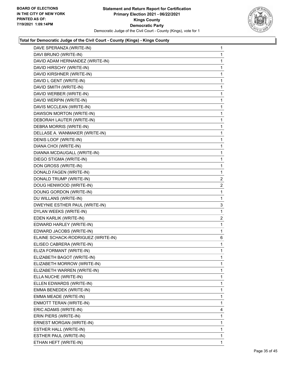

|                                    | 1            |
|------------------------------------|--------------|
| DAVI BRUNO (WRITE-IN)              | $\mathbf{1}$ |
| DAVID ADAM HERNANDEZ (WRITE-IN)    | 1            |
| DAVID HIRSCHY (WRITE-IN)           | 1            |
| DAVID KIRSHNER (WRITE-IN)          | 1            |
| DAVID L GENT (WRITE-IN)            | 1            |
| DAVID SMITH (WRITE-IN)             | 1            |
| DAVID WERBER (WRITE-IN)            | $\mathbf{1}$ |
| DAVID WERPIN (WRITE-IN)            | 1            |
| DAVIS MCCLEAN (WRITE-IN)           | 1            |
| DAWSON MORTON (WRITE-IN)           | 1            |
| DEBORAH LAUTER (WRITE-IN)          | 1            |
| DEBRA MORRIS (WRITE-IN)            | 1            |
| DELLASE A. WANMAKER (WRITE-IN)     | $\mathbf{1}$ |
| DENIS LOOF (WRITE-IN)              | 1            |
| DIANA CHOI (WRITE-IN)              | 1            |
| DIANNA MCDAUGALL (WRITE-IN)        | 1            |
| DIEGO STIGMA (WRITE-IN)            | 1            |
| DON GROSS (WRITE-IN)               | 1            |
| DONALD FAGEN (WRITE-IN)            | $\mathbf 1$  |
| DONALD TRUMP (WRITE-IN)            | 2            |
| DOUG HENWOOD (WRITE-IN)            | 2            |
| DOUNG GORDON (WRITE-IN)            | 1            |
| DU WILLANS (WRITE-IN)              | 1            |
| DWEYNIE ESTHER PAUL (WRITE-IN)     | 3            |
| DYLAN WEEKS (WRITE-IN)             | $\mathbf 1$  |
| EDEN KARLIK (WRITE-IN)             | 2            |
|                                    |              |
| EDWARD HARLEY (WRITE-IN)           | 1            |
| EDWARD JACOBS (WRITE-IN)           | 1            |
| ELAINE SCHACK-RODRIGUEZ (WRITE-IN) | 6            |
| ELISEO CABRERA (WRITE-IN)          | 1            |
| ELIZA FORMANT (WRITE-IN)           | $\mathbf{1}$ |
| ELIZABETH BAGOT (WRITE-IN)         | 1            |
| ELIZABETH MORROW (WRITE-IN)        | 1            |
| ELIZABETH WARREN (WRITE-IN)        | $\mathbf 1$  |
| ELLA NUCHE (WRITE-IN)              | 1            |
| ELLEN EDWARDS (WRITE-IN)           | 1            |
| EMMA BENEDEK (WRITE-IN)            | $\mathbf 1$  |
| EMMA MEADE (WRITE-IN)              | 1            |
| ENMOTT TERAN (WRITE-IN)            | 1            |
| ERIC ADAMS (WRITE-IN)              | 4            |
| ERIN PIERS (WRITE-IN)              | 1            |
| ERNEST MORGAN (WRITE-IN)           | 1            |
| ESTHER HALL (WRITE-IN)             | $\mathbf 1$  |
| ESTHER PAUL (WRITE-IN)             | 1            |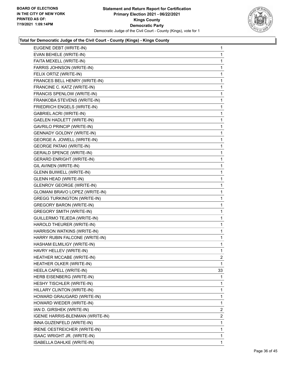

| EUGENE DEBT (WRITE-IN)             | $\mathbf{1}$   |
|------------------------------------|----------------|
| EVAN BEHELE (WRITE-IN)             | 1              |
| FAITA MEXELL (WRITE-IN)            | 1              |
| FARRIS JOHNSON (WRITE-IN)          | 1              |
| FELIX ORTIZ (WRITE-IN)             | 1              |
| FRANCES BELL HENRY (WRITE-IN)      | 1              |
| FRANCINE C. KATZ (WRITE-IN)        | 1              |
| FRANCIS SPENLOW (WRITE-IN)         | 1              |
| FRANKOBA STEVENS (WRITE-IN)        | 1              |
| FRIEDRICH ENGELS (WRITE-IN)        | 1              |
| GABRIEL ACRI (WRITE-IN)            | 1              |
| GAELEN HADLETT (WRITE-IN)          | 1              |
| <b>GAVRILO PRINCIP (WRITE-IN)</b>  | 1              |
| <b>GENNADY GOLDNY (WRITE-IN)</b>   | 1              |
| GEORGE A. JOWELL (WRITE-IN)        | 1              |
| <b>GEORGE PATAKI (WRITE-IN)</b>    | 1              |
| <b>GERALD SPENCE (WRITE-IN)</b>    | 1              |
| <b>GERARD ENRIGHT (WRITE-IN)</b>   | 1              |
| GIL AVINEN (WRITE-IN)              | 1              |
| <b>GLENN BUIWELL (WRITE-IN)</b>    | 1              |
| <b>GLENN HEAD (WRITE-IN)</b>       | 1              |
| <b>GLENROY GEORGE (WRITE-IN)</b>   | 1              |
| GLOMANI BRAVO LOPEZ (WRITE-IN)     | 1              |
| <b>GREGG TURKINGTON (WRITE-IN)</b> | 1              |
| <b>GREGORY BARON (WRITE-IN)</b>    | 1              |
| <b>GREGORY SMITH (WRITE-IN)</b>    | 1              |
| GUILLERMO TEJEDA (WRITE-IN)        | $\mathbf{1}$   |
| HAROLD THEURER (WRITE-IN)          | 1              |
| HARRISON WATKINS (WRITE-IN)        | 1              |
| HARRY RUBIN FALCONE (WRITE-IN)     | 1              |
| HASHAM ELMILIGY (WRITE-IN)         | 1              |
| HAVRY HELLEV (WRITE-IN)            | 1              |
| HEATHER MCCABE (WRITE-IN)          | 2              |
| HEATHER OLKER (WRITE-IN)           | 1              |
| HEELA CAPELL (WRITE-IN)            | 33             |
| HERB EISENBERG (WRITE-IN)          | 1              |
| HESHY TISCHLER (WRITE-IN)          | 1              |
| HILLARY CLINTON (WRITE-IN)         | 1              |
| HOWARD GRAUGARD (WRITE-IN)         | 1              |
| HOWARD WIEDER (WRITE-IN)           | 1              |
| IAN D. GIRSHEK (WRITE-IN)          | 2              |
| IGENIE HARRIS-BLENMAN (WRITE-IN)   | $\overline{2}$ |
| INNA GUZENFELD (WRITE-IN)          | 1              |
| IRENE OESTREICHER (WRITE-IN)       | 1              |
| ISAAC WRIGHT JR. (WRITE-IN)        | 1              |
| ISABELLA DAHLKE (WRITE-IN)         | $\mathbf{1}$   |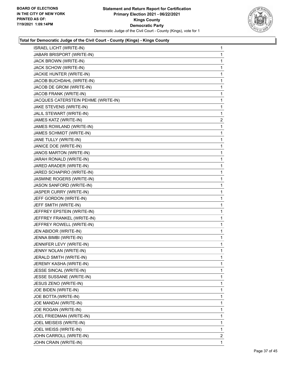

| <b>ISRAEL LICHT (WRITE-IN)</b>      | $\mathbf{1}$   |
|-------------------------------------|----------------|
| JABARI BRISPORT (WRITE-IN)          | 1              |
| JACK BROWN (WRITE-IN)               | 1              |
| JACK SCHOW (WRITE-IN)               | 1              |
| JACKIE HUNTER (WRITE-IN)            | 1              |
| JACOB BUCHDAHL (WRITE-IN)           | 1              |
| JACOB DE GROM (WRITE-IN)            | 1              |
| JACOB FRANK (WRITE-IN)              | 1              |
| JACQUES CATERSTEIN PEHME (WRITE-IN) | 1              |
| JAKE STEVENS (WRITE-IN)             | 1              |
| JALIL STEWART (WRITE-IN)            | 1              |
| JAMES KATZ (WRITE-IN)               | $\mathbf{2}$   |
| JAMES ROWLAND (WRITE-IN)            | 1              |
| JAMES SCHMIDT (WRITE-IN)            | 1              |
| JANE TULLY (WRITE-IN)               | 1              |
| JANICE DOE (WRITE-IN)               | 1              |
| JANOS MARTON (WRITE-IN)             | 1              |
| JARAH RONALD (WRITE-IN)             | 1              |
| JARED ARADER (WRITE-IN)             | 1              |
| JARED SCHAPIRO (WRITE-IN)           | 1              |
| JASMINE ROGERS (WRITE-IN)           | 1              |
| JASON SANFORD (WRITE-IN)            | 1              |
| JASPER CURRY (WRITE-IN)             | 1              |
| JEFF GORDON (WRITE-IN)              | 1              |
| JEFF SMITH (WRITE-IN)               | 1              |
| JEFFREY EPSTEIN (WRITE-IN)          | 1              |
| JEFFREY FRANKEL (WRITE-IN)          | 1              |
| JEFFREY ROWELL (WRITE-IN)           | 1              |
| JEN ABIDOR (WRITE-IN)               | 1              |
| JENNA BIMBI (WRITE-IN)              | 1              |
| JENNIFER LEVY (WRITE-IN)            | 1              |
| JENNY NOLAN (WRITE-IN)              | 1              |
| JERALD SMITH (WRITE-IN)             | 1              |
| JEREMY KASHA (WRITE-IN)             | 1              |
| JESSE SINCAL (WRITE-IN)             | 1              |
| JESSE SUSSANE (WRITE-IN)            | 1              |
| JESUS ZENO (WRITE-IN)               | 1              |
| JOE BIDEN (WRITE-IN)                | 1              |
| JOE BOTTA (WRITE-IN)                | 1              |
| JOE MANDAI (WRITE-IN)               | 1              |
| JOE ROGAN (WRITE-IN)                | 1              |
| JOEL FRIEDMAN (WRITE-IN)            | 1              |
| JOEL MEISEIS (WRITE-IN)             | 1              |
| JOEL WEISS (WRITE-IN)               | 1              |
| JOHN CARROLL (WRITE-IN)             | $\overline{a}$ |
| JOHN CRAIN (WRITE-IN)               | 1              |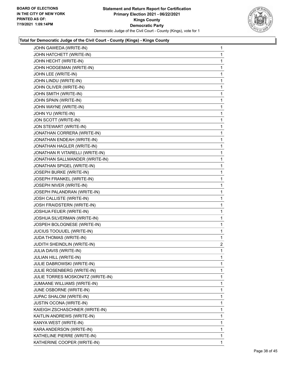

| 1              |
|----------------|
| 1              |
| 1              |
| 1              |
| 1              |
| 1              |
| 1              |
| 1              |
| 1              |
| 1              |
| 1              |
| 1              |
| 1              |
| 1              |
| 1              |
| 1              |
| 1              |
| 1              |
| 1              |
| 1              |
| 1              |
| 1              |
| 1              |
| 1              |
| 1              |
| 1              |
| 1              |
| 1              |
| $\mathbf{1}$   |
| 1              |
| $\overline{a}$ |
| 1              |
| 1              |
| 1              |
| 1              |
| 1              |
| 1              |
| 1              |
| 1              |
| 1              |
|                |
| 1              |
| 1              |
| 1              |
| 1              |
| 1              |
|                |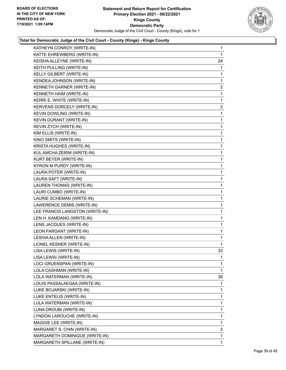

| KATHEYN CONROY (WRITE-IN)       | 1              |
|---------------------------------|----------------|
| KATTE EHREWBERG (WRITE-IN)      | 1              |
| KEISHA ALLEYNE (WRITE-IN)       | 24             |
| KEITH PULLING (WRITE-IN)        | 1              |
| KELLY GILBERT (WRITE-IN)        | 1              |
| KENDEA JOHNSON (WRITE-IN)       | 1              |
| KENNETH GARNER (WRITE-IN)       | $\overline{2}$ |
| KENNETH HAIM (WRITE-IN)         | 1              |
| KERRI E. WHITE (WRITE-IN)       | $\mathbf{1}$   |
| KERVENS DORCELY (WRITE-IN)      | $\overline{2}$ |
| KEVIN DOWLING (WRITE-IN)        | 1              |
| KEVIN DURANT (WRITE-IN)         | 1              |
| KEVIN ZYCH (WRITE-IN)           | 1              |
| KIM ELLIS (WRITE-IN)            | 1              |
| KINO SMITS (WRITE-IN)           | $\mathbf{1}$   |
| <b>KRISTA HUGHES (WRITE-IN)</b> | 1              |
| KUL AMCHA ZERIM (WRITE-IN)      | 1              |
| KURT BEYER (WRITE-IN)           | 1              |
| KYRON M PURDY (WRITE-IN)        | 1              |
| LAURA POTER (WRITE-IN)          | 1              |
| LAURA SAFT (WRITE-IN)           | $\mathbf{1}$   |
| LAUREN THOMAS (WRITE-IN)        | 1              |
| LAURI CUMBO (WRITE-IN)          | 1              |
| LAURIE SCHEMAN (WRITE-IN)       | $\mathbf{1}$   |
| LAWERENCE DEMIS (WRITE-IN)      | 1              |
| LEE FRANCIS LANGSTON (WRITE-IN) | 1              |
| LEN H. KAMDANG (WRITE-IN)       | $\mathbf{1}$   |
| LENS JACQUES (WRITE-IN)         | 1              |
| LEON FARGANT (WRITE-IN)         | 1              |
| LESHIA ALLEN (WRITE-IN)         | 1              |
| LIONEL KESNER (WRITE-IN)        | 1              |
| LISA LEWIS (WRITE-IN)           | 33             |
| LISA LEWSI (WRITE-IN)           | 1              |
| LOCI GRUENSPAN (WRITE-IN)       | 1              |
| LOLA CASHMAN (WRITE-IN)         | 1              |
| LOLA WATERMAN (WRITE-IN)        | 38             |
| LOUIS PASSALAEGAA (WRITE-IN)    | 1              |
| LUKE BOJARSKI (WRITE-IN)        | 1              |
| LUKE ENTELIS (WRITE-IN)         | 1              |
| LULA WATERMAN (WRITE-IN)        | 1              |
| LUNA DROUBI (WRITE-IN)          | 1              |
| LYNDON LAROUCHE (WRITE-IN)      | $\mathbf{1}$   |
| MAGGIE LEE (WRITE-IN)           | 1              |
| MARGARET S. CHIN (WRITE-IN)     | 3              |
| MARGARETH DOMINIQUE (WRITE-IN)  | 1              |
| MARGARETH SPILLANE (WRITE-IN)   | 1              |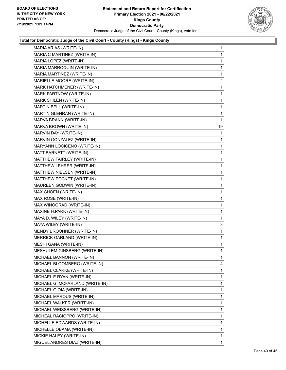

| MARIA ARIAS (WRITE-IN)          | 1              |
|---------------------------------|----------------|
| MARIA C MARTINEZ (WRITE-IN)     | 1              |
| MARIA LOPEZ (WRITE-IN)          | 1              |
| MARIA MARROQUIN (WRITE-IN)      | 1              |
| MARIA MARTINEZ (WRITE-IN)       | 1              |
| MARIELLE MOORE (WRITE-IN)       | $\overline{c}$ |
| MARK HATCHMENER (WRITE-IN)      | 1              |
| MARK PARTNOW (WRITE-IN)         | 1              |
| MARK SHILEN (WRITE-IN)          | 1              |
| MARTIN BELL (WRITE-IN)          | 1              |
| MARTIN GLENRAN (WRITE-IN)       | 1              |
| MARVA BRANN (WRITE-IN)          | 1              |
| MARVA BROWN (WRITE-IN)          | 19             |
| MARVIN DAY (WRITE-IN)           | 1              |
| MARVIN GONZALEZ (WRITE-IN)      | 1              |
| MARYANN LOCICENO (WRITE-IN)     | 1              |
| MATT BARNETT (WRITE-IN)         | 1              |
| MATTHEW FAIRLEY (WRITE-IN)      | 1              |
| MATTHEW LEHRER (WRITE-IN)       | 1              |
| MATTHEW NIELSEN (WRITE-IN)      | 1              |
| MATTHEW POCKET (WRITE-IN)       | 1              |
| MAUREEN GODWIN (WRITE-IN)       | 1              |
| MAX CHOEN (WRITE-IN)            | 1              |
| MAX ROSE (WRITE-IN)             | 1              |
| MAX WINOGRAD (WRITE-IN)         | 1              |
| MAXINE H.PARK (WRITE-IN)        | 1              |
| MAYA D. WILEY (WRITE-IN)        | 1              |
| MAYA WILEY (WRITE-IN)           | 3              |
| MENDY BROONNER (WRITE-IN)       | 1              |
| MERRICK GARLAND (WRITE-IN)      | 1              |
| MESHI GANA (WRITE-IN)           | 1              |
| MESHULEM GINSBERG (WRITE-IN)    | 1              |
| MICHAEL BANNON (WRITE-IN)       | 1              |
| MICHAEL BLOOMBERG (WRITE-IN)    | 4              |
| MICHAEL CLARKE (WRITE-IN)       | 1              |
| MICHAEL E RYAN (WRITE-IN)       | 1              |
| MICHAEL G. MCFARLAND (WRITE-IN) | 1              |
| MICHAEL GIOIA (WRITE-IN)        | 1              |
| MICHAEL MAROUS (WRITE-IN)       | 1              |
| MICHAEL WALKER (WRITE-IN)       | 1              |
| MICHAEL WEISSBERG (WRITE-IN)    | 1              |
| MICHEAL RACIOPPO (WRITE-IN)     | 1              |
| MICHELLE EDWARDS (WRITE-IN)     | 1              |
| MICHELLE OBAMA (WRITE-IN)       | 1              |
| MICKIE HALEY (WRITE-IN)         | 1              |
| MIGUEL ANDRES DIAZ (WRITE-IN)   | $\mathbf{1}$   |
|                                 |                |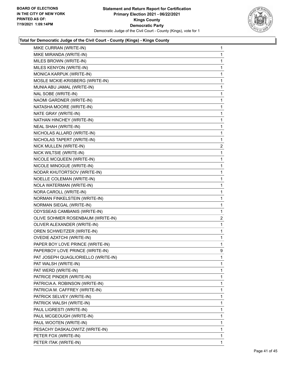

| MIKE CURRAN (WRITE-IN)              | 1              |
|-------------------------------------|----------------|
| MIKE MIRANDA (WRITE-IN)             | 1              |
| MILES BROWN (WRITE-IN)              | 1              |
| MILES KENYON (WRITE-IN)             | 1              |
| MONICA KARPUK (WRITE-IN)            | 1              |
| MOSLE MCKIE-KRISBERG (WRITE-IN)     | 1              |
| MUNIA ABU JAMAL (WRITE-IN)          | 1              |
| NAL SOBE (WRITE-IN)                 | 1              |
| NAOMI GARDNER (WRITE-IN)            | 1              |
| NATASHA MOORE (WRITE-IN)            | 1              |
| NATE GRAY (WRITE-IN)                | 1              |
| NATHAN HINCHEY (WRITE-IN)           | 1              |
| <b>NEAL SHAH (WRITE-IN)</b>         | 1              |
| NICHOLAS ALLARD (WRITE-IN)          | 1              |
| NICHOLAS TAPERT (WRITE-IN)          | 1              |
| NICK MULLEN (WRITE-IN)              | $\overline{a}$ |
| NICK WILTSIE (WRITE-IN)             | 1              |
| NICOLE MCQUEEN (WRITE-IN)           | 1              |
| NICOLE MINOGUE (WRITE-IN)           | 1              |
| NODAR KHUTORTSOV (WRITE-IN)         | 1              |
| NOELLE COLEMAN (WRITE-IN)           | 1              |
| NOLA WATERMAN (WRITE-IN)            | 1              |
| NORA CAROLL (WRITE-IN)              | 1              |
| NORMAN FINKELSTEIN (WRITE-IN)       | 1              |
| NORMAN SIEGAL (WRITE-IN)            | 1              |
| ODYSSEAS CAMBANIS (WRITE-IN)        | 1              |
| OLIVE SOHMER ROSENBAUM (WRITE-IN)   | $\overline{2}$ |
| OLIVER ALEXANDER (WRITE-IN)         | 1              |
| OREN SCHWEITZER (WRITE-IN)          | 1              |
| <b>OVEDIE AZATCHI (WRITE-IN)</b>    | 1              |
| PAPER BOY LOVE PRINCE (WRITE-IN)    | 1              |
| PAPERBOY LOVE PRINCE (WRITE-IN)     | 9              |
| PAT JOSEPH QUAGLIORIELLO (WRITE-IN) | 1              |
| PAT WALSH (WRITE-IN)                | 1              |
| PAT WERD (WRITE-IN)                 | 1              |
| PATRICE PINDER (WRITE-IN)           | 1              |
| PATRICIA A. ROBINSON (WRITE-IN)     | 1              |
| PATRICIA M. CAFFREY (WRITE-IN)      | 1              |
| PATRICK SELVEY (WRITE-IN)           | 1              |
| PATRICK WALSH (WRITE-IN)            | 1              |
| PAUL LIGRESTI (WRITE-IN)            | 1              |
| PAUL MCGEOUGH (WRITE-IN)            | 1              |
| PAUL WOOTEN (WRITE-IN)              | 1              |
| PESACHY DASKALOWITZ (WRITE-IN)      | 1              |
| PETER FOX (WRITE-IN)                | 1              |
| PETER ITAK (WRITE-IN)               | 1              |
|                                     |                |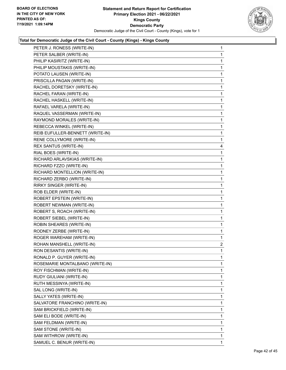

| PETER J. RONESS (WRITE-IN)       | 1              |
|----------------------------------|----------------|
| PETER SALBER (WRITE-IN)          | 1              |
| PHILIP KASIRITZ (WRITE-IN)       | 1              |
| PHILIP MOUSTAKIS (WRITE-IN)      | 1              |
| POTATO LAUSEN (WRITE-IN)         | 1              |
| PRISCILLA PAGAN (WRITE-IN)       | 1              |
| RACHEL DORETSKY (WRITE-IN)       | $\mathbf{1}$   |
| RACHEL FARAN (WRITE-IN)          | 1              |
| RACHEL HASKELL (WRITE-IN)        | 1              |
| RAFAEL VARELA (WRITE-IN)         | 1              |
| RAQUEL VASSERMAN (WRITE-IN)      | 1              |
| RAYMOND MORALES (WRITE-IN)       | 1              |
| REBECCA WINKEL (WRITE-IN)        | $\mathbf{1}$   |
| REIB EUFULLER-BENNETT (WRITE-IN) | 1              |
| RENE COLLYMORE (WRITE-IN)        | 1              |
| REX SANTUS (WRITE-IN)            | 4              |
| RIAL BOES (WRITE-IN)             | 1              |
| RICHARD ARLAVSKIAS (WRITE-IN)    | 1              |
| RICHARD FZZO (WRITE-IN)          | $\mathbf{1}$   |
| RICHARD MONTELLION (WRITE-IN)    | 1              |
| RICHARD ZERBO (WRITE-IN)         | 1              |
| RIRKY SINGER (WRITE-IN)          | 1              |
| ROB ELDER (WRITE-IN)             | 1              |
| ROBERT EPSTEIN (WRITE-IN)        | 1              |
| ROBERT NEWMAN (WRITE-IN)         | $\mathbf{1}$   |
| ROBERT S, ROACH (WRITE-IN)       | 1              |
| ROBERT SIEBEL (WRITE-IN)         | 1              |
| ROBIN SHEARES (WRITE-IN)         | 1              |
| RODNEY ZERBE (WRITE-IN)          | 1              |
| ROGER WAREHAM (WRITE-IN)         | 1              |
| ROHAN MANSHELL (WRITE-IN)        | $\overline{2}$ |
| RON DESANTIS (WRITE-IN)          | 1              |
| RONALD P. GUYER (WRITE-IN)       | 1              |
| ROSEMARIE MONTALBANO (WRITE-IN)  | 1              |
| ROY FISCHMAN (WRITE-IN)          | 1              |
| RUDY GIULIANI (WRITE-IN)         | 1              |
| RUTH MESSINYA (WRITE-IN)         | 1              |
| SAL LONG (WRITE-IN)              | 1              |
| SALLY YATES (WRITE-IN)           | 1              |
| SALVATORE FRANCHINO (WRITE-IN)   | 1              |
| SAM BRICKFIELD (WRITE-IN)        | 1              |
| SAM ELI BODE (WRITE-IN)          | 1              |
| SAM FELDMAN (WRITE-IN)           | 1              |
| SAM STONE (WRITE-IN)             | 1              |
| SAM WITHROW (WRITE-IN)           | 1              |
| SAMUEL C. BENUR (WRITE-IN)       | 1              |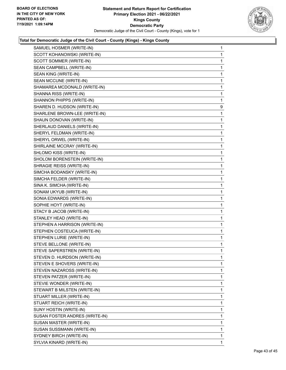

| SAMUEL HOSMER (WRITE-IN)       | $\mathbf{1}$ |
|--------------------------------|--------------|
| SCOTT KOHANOWSKI (WRITE-IN)    | 1            |
| SCOTT SOMMER (WRITE-IN)        | 1            |
| SEAN CAMPBELL (WRITE-IN)       | $\mathbf{1}$ |
| SEAN KING (WRITE-IN)           | 1            |
| SEAN MCCUNE (WRITE-IN)         | 1            |
| SHAMAREA MCDONALD (WRITE-IN)   | $\mathbf{1}$ |
| SHANNA RISS (WRITE-IN)         | 1            |
| SHANNON PHIPPS (WRITE-IN)      | 1            |
| SHAREN D. HUDSON (WRITE-IN)    | 9            |
| SHARLENE BROWN-LEE (WRITE-IN)  | 1            |
| SHAUN DONOVAN (WRITE-IN)       | 1            |
| SHERLAUD DANIELS (WRITE-IN)    | $\mathbf{1}$ |
| SHERYL FELDMAN (WRITE-IN)      | 1            |
| SHERYL ORWEL (WRITE-IN)        | 1            |
| SHIRLAINE MCCRAY (WRITE-IN)    | $\mathbf{1}$ |
| SHLOMO KISS (WRITE-IN)         | 1            |
| SHOLOM BORENSTEIN (WRITE-IN)   | 1            |
| SHRAGIE REISS (WRITE-IN)       | $\mathbf{1}$ |
| SIMCHA BODANSKY (WRITE-IN)     | 1            |
| SIMCHA FELDER (WRITE-IN)       | 1            |
| SINA K. SIMCHA (WRITE-IN)      | $\mathbf{1}$ |
| SONAM UKYUB (WRITE-IN)         | 1            |
| SONIA EDWARDS (WRITE-IN)       | 1            |
| SOPHIE HOYT (WRITE-IN)         | $\mathbf{1}$ |
| STACY B JACOB (WRITE-IN)       | 1            |
| STANLEY HEAD (WRITE-IN)        | 1            |
| STEPHEN A HARRISON (WRITE-IN)  | $\mathbf{1}$ |
| STEPHEN COSTEUCA (WRITE-IN)    | 1            |
| STEPHEN LURIE (WRITE-IN)       | 1            |
| STEVE BELLONE (WRITE-IN)       | $\mathbf{1}$ |
| STEVE SAPERSTREN (WRITE-IN)    | 1            |
| STEVEN D. HURDSON (WRITE-IN)   | $\mathbf{1}$ |
| STEVEN E SHOVERS (WRITE-IN)    | 1            |
| STEVEN NAZAROSS (WRITE-IN)     | 1            |
| STEVEN PATZER (WRITE-IN)       | 1            |
| STEVIE WONDER (WRITE-IN)       | 1            |
| STEWART B MILSTEN (WRITE-IN)   | 1            |
| STUART MILLER (WRITE-IN)       | 1            |
| STUART REICH (WRITE-IN)        | 1            |
| SUNY HOSTIN (WRITE-IN)         | 1            |
| SUSAN FOSTER ANDRES (WRITE-IN) | 1            |
| SUSAN MASTER (WRITE-IN)        | 1            |
| SUSAN SUSSMANN (WRITE-IN)      | 1            |
| SYDNEY BIRCH (WRITE-IN)        | 1            |
| SYLVIA KINARD (WRITE-IN)       | 1            |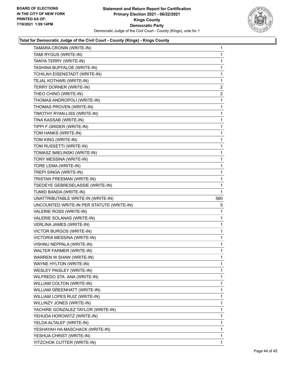

| TAMARA CRONIN (WRITE-IN)                  | 1              |
|-------------------------------------------|----------------|
| TAMI RYGUS (WRITE-IN)                     | 1              |
| TANYA TERRY (WRITE-IN)                    | 1              |
| TASHINA BUFFALOE (WRITE-IN)               | 1              |
| TCHILAH EISENSTADT (WRITE-IN)             | 1              |
| TEJAL KOTHARI (WRITE-IN)                  | 1              |
| TERRY DORNER (WRITE-IN)                   | $\overline{2}$ |
| THEO CHINO (WRITE-IN)                     | $\overline{a}$ |
| THOMAS ANDROPOLI (WRITE-IN)               | 1              |
| THOMAS PROVEN (WRITE-IN)                  | 1              |
| TIMOTHY RYAN-LISS (WRITE-IN)              | 1              |
| TINA KASSAB (WRITE-IN)                    | 1              |
| TIPPI F.GRIDER (WRITE-IN)                 | 1              |
| TOM HANKS (WRITE-IN)                      | 1              |
| TOM KING (WRITE-IN)                       | 1              |
| TOM RUSSETTI (WRITE-IN)                   | 1              |
| TOMASZ IMIELINSKI (WRITE-IN)              | 1              |
| TONY MESSINA (WRITE-IN)                   | 1              |
| TORE LEMA (WRITE-IN)                      | 1              |
| TREPI SINGA (WRITE-IN)                    | 1              |
| TRISTAN FREEMAN (WRITE-IN)                | 1              |
| TSEDEYE GEBRESELASSIE (WRITE-IN)          | 1              |
| TUMID BANDA (WRITE-IN)                    | 1              |
| UNATTRIBUTABLE WRITE-IN (WRITE-IN)        | 580            |
| UNCOUNTED WRITE-IN PER STATUTE (WRITE-IN) | 5              |
| VALERIE ROSS (WRITE-IN)                   | 1              |
| VALERIE SOLANAS (WRITE-IN)                | 1              |
| VERLINA JAMES (WRITE-IN)                  | 1              |
| <b>VICTOR BURGOS (WRITE-IN)</b>           | 1              |
| VICTORIA MESSINA (WRITE-IN)               | 1              |
| VISHNU NEPPALA (WRITE-IN)                 | 1              |
| <b>WALTER FARMER (WRITE-IN)</b>           | 1              |
| WARREN W SHAW (WRITE-IN)                  | 1              |
| WAYNE HYLTON (WRITE-IN)                   | 1              |
| WESLEY PAISLEY (WRITE-IN)                 | 1              |
| WILFREDO STA. ANA (WRITE-IN)              | 1              |
| WILLIAM COLTON (WRITE-IN)                 | 1              |
| WILLIAM GREENHATT (WRITE-IN)              | 1              |
| WILLIAM LOPES RUIZ (WRITE-IN)             | 1              |
| WILLINZY JONES (WRITE-IN)                 | 1              |
| YACHIRE GONZALEZ TAYLOR (WRITE-IN)        | 1              |
| YEHUDA HOROWITZ (WRITE-IN)                | 1              |
| YELDA ALTALEF (WRITE-IN)                  | 1              |
| YESHAYAH HA MASCHACK (WRITE-IN)           | 1              |
| YESHUA CHRIST (WRITE-IN)                  | 1              |
| YITZCHOK CUTTER (WRITE-IN)                | 1              |
|                                           |                |